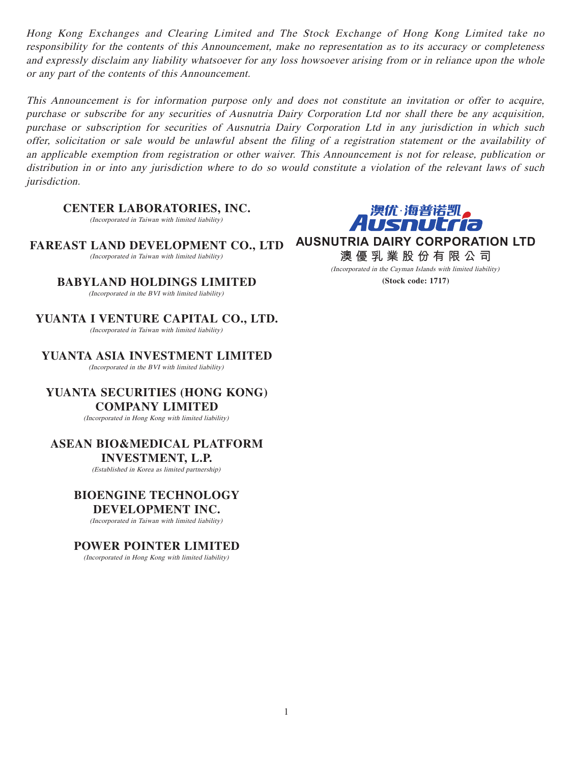Hong Kong Exchanges and Clearing Limited and The Stock Exchange of Hong Kong Limited take no responsibility for the contents of this Announcement, make no representation as to its accuracy or completeness and expressly disclaim any liability whatsoever for any loss howsoever arising from or in reliance upon the whole or any part of the contents of this Announcement.

This Announcement is for information purpose only and does not constitute an invitation or offer to acquire, purchase or subscribe for any securities of Ausnutria Dairy Corporation Ltd nor shall there be any acquisition, purchase or subscription for securities of Ausnutria Dairy Corporation Ltd in any jurisdiction in which such offer, solicitation or sale would be unlawful absent the filing of a registration statement or the availability of an applicable exemption from registration or other waiver. This Announcement is not for release, publication or distribution in or into any jurisdiction where to do so would constitute a violation of the relevant laws of such jurisdiction.

**CENTER LABORATORIES, INC.**

(Incorporated in Taiwan with limited liability)



**FAREAST LAND DEVELOPMENT CO., LTD** (Incorporated in Taiwan with limited liability)

**BABYLAND HOLDINGS LIMITED**

(Incorporated in the BVI with limited liability)

**YUANTA I VENTURE CAPITAL CO., LTD.** (Incorporated in Taiwan with limited liability)

**YUANTA ASIA INVESTMENT LIMITED**

(Incorporated in the BVI with limited liability)

**YUANTA SECURITIES (HONG KONG) COMPANY LIMITED**

(Incorporated in Hong Kong with limited liability)

# **ASEAN BIO&MEDICAL PLATFORM**

**INVESTMENT, L.P.**

(Established in Korea as limited partnership)

# **BIOENGINE TECHNOLOGY**

#### **DEVELOPMENT INC.**

(Incorporated in Taiwan with limited liability)

# **POWER POINTER LIMITED**

(Incorporated in Hong Kong with limited liability)

**AUSNUTRIA DAIRY CORPORATION LTD 澳優乳業股份有限公司**

> (Incorporated in the Cayman Islands with limited liability) **(Stock code: 1717)**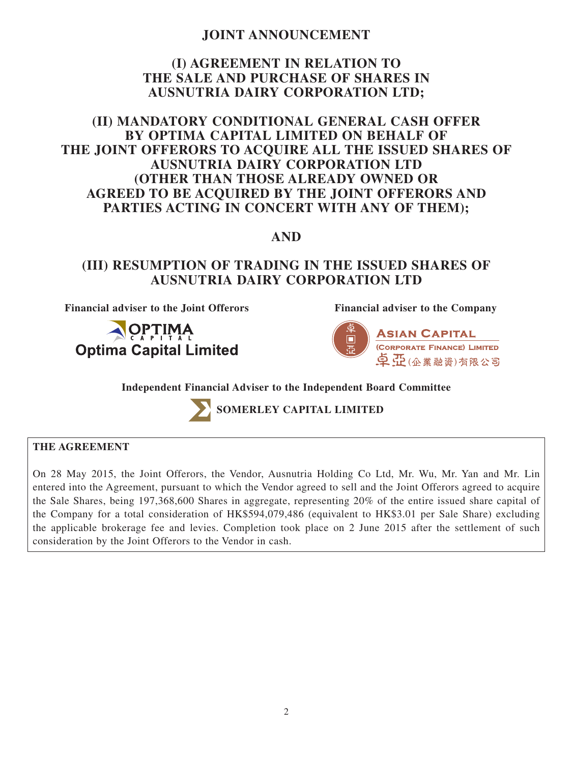# **JOINT ANNOUNCEMENT**

# **(I) AGREEMENT IN RELATION TO THE SALE AND PURCHASE OF SHARES IN AUSNUTRIA DAIRY CORPORATION LTD;**

# **(II) MANDATORY CONDITIONAL GENERAL CASH OFFER BY OPTIMA CAPITAL LIMITED ON BEHALF OF THE JOINT OFFERORS TO ACQUIRE ALL THE ISSUED SHARES OF AUSNUTRIA DAIRY CORPORATION LTD (OTHER THAN THOSE ALREADY OWNED OR AGREED TO BE ACQUIRED BY THE JOINT OFFERORS AND PARTIES ACTING IN CONCERT WITH ANY OF THEM);**

# **AND**

# **(III) RESUMPTION OF TRADING IN THE ISSUED SHARES OF AUSNUTRIA DAIRY CORPORATION LTD**

**Financial adviser to the Joint Offerors Financial adviser to the Company**





**Independent Financial Adviser to the Independent Board Committee**



**SOMERLEY CAPITAL LIMITED**

# **THE AGREEMENT**

On 28 May 2015, the Joint Offerors, the Vendor, Ausnutria Holding Co Ltd, Mr. Wu, Mr. Yan and Mr. Lin entered into the Agreement, pursuant to which the Vendor agreed to sell and the Joint Offerors agreed to acquire the Sale Shares, being 197,368,600 Shares in aggregate, representing 20% of the entire issued share capital of the Company for a total consideration of HK\$594,079,486 (equivalent to HK\$3.01 per Sale Share) excluding the applicable brokerage fee and levies. Completion took place on 2 June 2015 after the settlement of such consideration by the Joint Offerors to the Vendor in cash.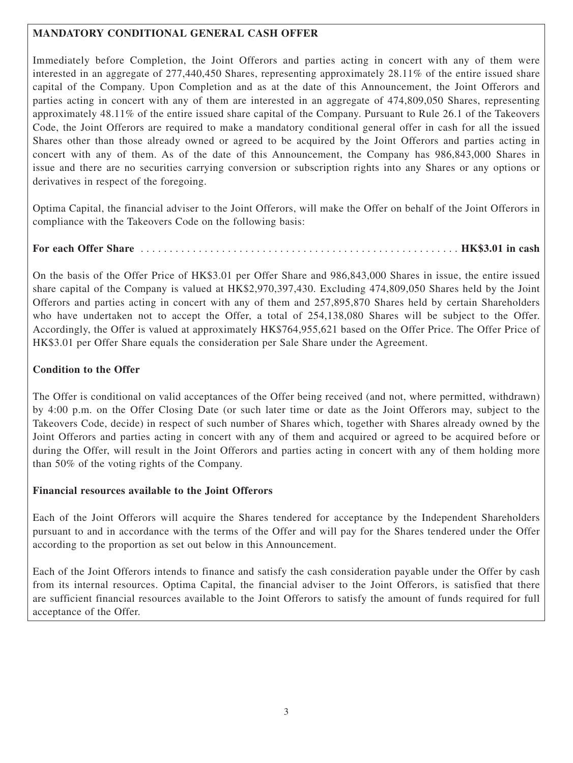# **MANDATORY CONDITIONAL GENERAL CASH OFFER**

Immediately before Completion, the Joint Offerors and parties acting in concert with any of them were interested in an aggregate of 277,440,450 Shares, representing approximately 28.11% of the entire issued share capital of the Company. Upon Completion and as at the date of this Announcement, the Joint Offerors and parties acting in concert with any of them are interested in an aggregate of 474,809,050 Shares, representing approximately 48.11% of the entire issued share capital of the Company. Pursuant to Rule 26.1 of the Takeovers Code, the Joint Offerors are required to make a mandatory conditional general offer in cash for all the issued Shares other than those already owned or agreed to be acquired by the Joint Offerors and parties acting in concert with any of them. As of the date of this Announcement, the Company has 986,843,000 Shares in issue and there are no securities carrying conversion or subscription rights into any Shares or any options or derivatives in respect of the foregoing.

Optima Capital, the financial adviser to the Joint Offerors, will make the Offer on behalf of the Joint Offerors in compliance with the Takeovers Code on the following basis:

**For each Offer Share** . . . . . . . . . . . . . . . . . . . . . . . . . . . . . . . . . . . . . . . . . . . . . . . . . . . . . . . **HK\$3.01 in cash**

On the basis of the Offer Price of HK\$3.01 per Offer Share and 986,843,000 Shares in issue, the entire issued share capital of the Company is valued at HK\$2,970,397,430. Excluding 474,809,050 Shares held by the Joint Offerors and parties acting in concert with any of them and 257,895,870 Shares held by certain Shareholders who have undertaken not to accept the Offer, a total of 254,138,080 Shares will be subject to the Offer. Accordingly, the Offer is valued at approximately HK\$764,955,621 based on the Offer Price. The Offer Price of HK\$3.01 per Offer Share equals the consideration per Sale Share under the Agreement.

# **Condition to the Offer**

The Offer is conditional on valid acceptances of the Offer being received (and not, where permitted, withdrawn) by 4:00 p.m. on the Offer Closing Date (or such later time or date as the Joint Offerors may, subject to the Takeovers Code, decide) in respect of such number of Shares which, together with Shares already owned by the Joint Offerors and parties acting in concert with any of them and acquired or agreed to be acquired before or during the Offer, will result in the Joint Offerors and parties acting in concert with any of them holding more than 50% of the voting rights of the Company.

# **Financial resources available to the Joint Offerors**

Each of the Joint Offerors will acquire the Shares tendered for acceptance by the Independent Shareholders pursuant to and in accordance with the terms of the Offer and will pay for the Shares tendered under the Offer according to the proportion as set out below in this Announcement.

Each of the Joint Offerors intends to finance and satisfy the cash consideration payable under the Offer by cash from its internal resources. Optima Capital, the financial adviser to the Joint Offerors, is satisfied that there are sufficient financial resources available to the Joint Offerors to satisfy the amount of funds required for full acceptance of the Offer.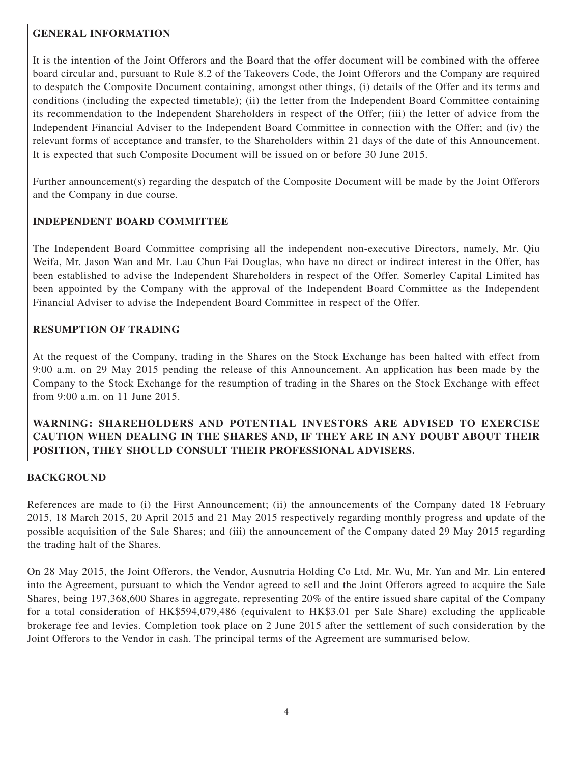## **GENERAL INFORMATION**

It is the intention of the Joint Offerors and the Board that the offer document will be combined with the offeree board circular and, pursuant to Rule 8.2 of the Takeovers Code, the Joint Offerors and the Company are required to despatch the Composite Document containing, amongst other things, (i) details of the Offer and its terms and conditions (including the expected timetable); (ii) the letter from the Independent Board Committee containing its recommendation to the Independent Shareholders in respect of the Offer; (iii) the letter of advice from the Independent Financial Adviser to the Independent Board Committee in connection with the Offer; and (iv) the relevant forms of acceptance and transfer, to the Shareholders within 21 days of the date of this Announcement. It is expected that such Composite Document will be issued on or before 30 June 2015.

Further announcement(s) regarding the despatch of the Composite Document will be made by the Joint Offerors and the Company in due course.

# **INDEPENDENT BOARD COMMITTEE**

The Independent Board Committee comprising all the independent non-executive Directors, namely, Mr. Qiu Weifa, Mr. Jason Wan and Mr. Lau Chun Fai Douglas, who have no direct or indirect interest in the Offer, has been established to advise the Independent Shareholders in respect of the Offer. Somerley Capital Limited has been appointed by the Company with the approval of the Independent Board Committee as the Independent Financial Adviser to advise the Independent Board Committee in respect of the Offer.

# **RESUMPTION OF TRADING**

At the request of the Company, trading in the Shares on the Stock Exchange has been halted with effect from 9:00 a.m. on 29 May 2015 pending the release of this Announcement. An application has been made by the Company to the Stock Exchange for the resumption of trading in the Shares on the Stock Exchange with effect from 9:00 a.m. on 11 June 2015.

# **WARNING: SHAREHOLDERS AND POTENTIAL INVESTORS ARE ADVISED TO EXERCISE CAUTION WHEN DEALING IN THE SHARES AND, IF THEY ARE IN ANY DOUBT ABOUT THEIR POSITION, THEY SHOULD CONSULT THEIR PROFESSIONAL ADVISERS.**

#### **BACKGROUND**

References are made to (i) the First Announcement; (ii) the announcements of the Company dated 18 February 2015, 18 March 2015, 20 April 2015 and 21 May 2015 respectively regarding monthly progress and update of the possible acquisition of the Sale Shares; and (iii) the announcement of the Company dated 29 May 2015 regarding the trading halt of the Shares.

On 28 May 2015, the Joint Offerors, the Vendor, Ausnutria Holding Co Ltd, Mr. Wu, Mr. Yan and Mr. Lin entered into the Agreement, pursuant to which the Vendor agreed to sell and the Joint Offerors agreed to acquire the Sale Shares, being 197,368,600 Shares in aggregate, representing 20% of the entire issued share capital of the Company for a total consideration of HK\$594,079,486 (equivalent to HK\$3.01 per Sale Share) excluding the applicable brokerage fee and levies. Completion took place on 2 June 2015 after the settlement of such consideration by the Joint Offerors to the Vendor in cash. The principal terms of the Agreement are summarised below.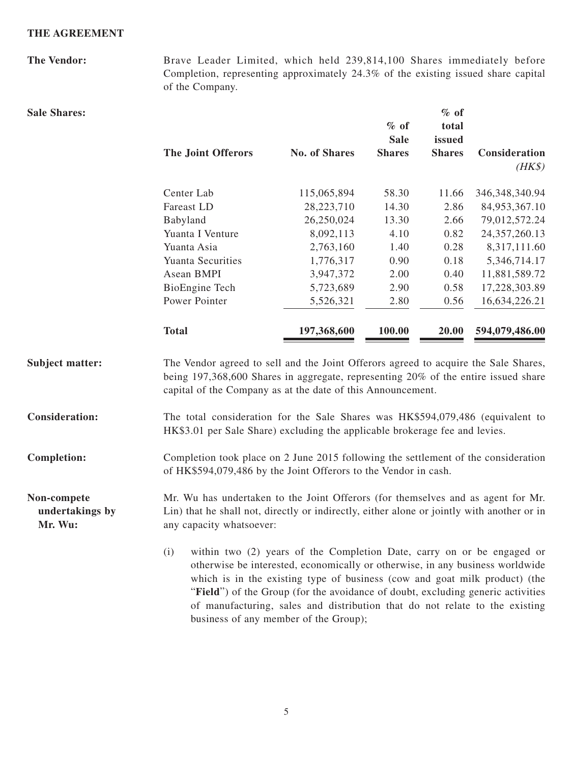#### **THE AGREEMENT**

**The Vendor:** Brave Leader Limited, which held 239,814,100 Shares immediately before Completion, representing approximately 24.3% of the existing issued share capital of the Company. **Sale Shares: The Joint Offerors** No. of Shares **% of Sale Shares % of total issued Shares Consideration**   $(HK\$ Center Lab 115,065,894 58.30 11.66 346,348,340.94 Fareast LD 28,223,710 14.30 2.86 84,953,367.10 Babyland 26,250,024 13.30 2.66 79,012,572.24 Yuanta I Venture 8,092,113 4.10 0.82 24,357,260.13 Yuanta Asia  $2,763,160$   $1.40$   $0.28$   $8,317,111.60$ Yuanta Securities 1,776,317 0.90 0.18 5,346,714.17 Asean BMPI 3,947,372 2.00 0.40 11,881,589.72 BioEngine Tech 5,723,689 2.90 0.58 17,228,303.89 Power Pointer 5,526,321 2.80 0.56 16,634,226.21 **Total 197,368,600 100.00 20.00 594,079,486.00** Subject matter: The Vendor agreed to sell and the Joint Offerors agreed to acquire the Sale Shares, being 197,368,600 Shares in aggregate, representing 20% of the entire issued share capital of the Company as at the date of this Announcement. **Consideration:** The total consideration for the Sale Shares was HK\$594,079,486 (equivalent to HK\$3.01 per Sale Share) excluding the applicable brokerage fee and levies.

**Completion:** Completion took place on 2 June 2015 following the settlement of the consideration of HK\$594,079,486 by the Joint Offerors to the Vendor in cash.

**Non-compete undertakings by Mr. Wu:** Mr. Wu has undertaken to the Joint Offerors (for themselves and as agent for Mr. Lin) that he shall not, directly or indirectly, either alone or jointly with another or in any capacity whatsoever:

> (i) within two (2) years of the Completion Date, carry on or be engaged or otherwise be interested, economically or otherwise, in any business worldwide which is in the existing type of business (cow and goat milk product) (the "**Field**") of the Group (for the avoidance of doubt, excluding generic activities of manufacturing, sales and distribution that do not relate to the existing business of any member of the Group);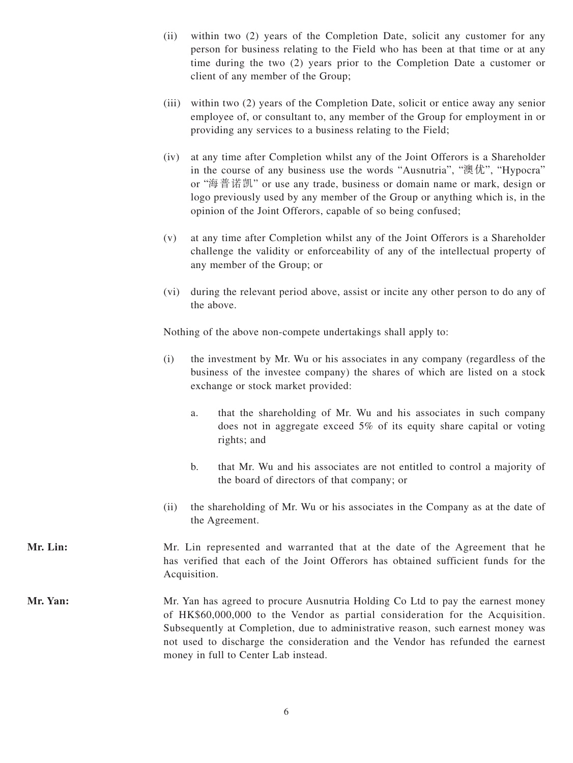- (ii) within two (2) years of the Completion Date, solicit any customer for any person for business relating to the Field who has been at that time or at any time during the two (2) years prior to the Completion Date a customer or client of any member of the Group;
- (iii) within two (2) years of the Completion Date, solicit or entice away any senior employee of, or consultant to, any member of the Group for employment in or providing any services to a business relating to the Field;
- (iv) at any time after Completion whilst any of the Joint Offerors is a Shareholder in the course of any business use the words "Ausnutria", "澳优", "Hypocra" or "海普諾凱" or use any trade, business or domain name or mark, design or logo previously used by any member of the Group or anything which is, in the opinion of the Joint Offerors, capable of so being confused;
- (v) at any time after Completion whilst any of the Joint Offerors is a Shareholder challenge the validity or enforceability of any of the intellectual property of any member of the Group; or
- (vi) during the relevant period above, assist or incite any other person to do any of the above.

Nothing of the above non-compete undertakings shall apply to:

- (i) the investment by Mr. Wu or his associates in any company (regardless of the business of the investee company) the shares of which are listed on a stock exchange or stock market provided:
	- a. that the shareholding of Mr. Wu and his associates in such company does not in aggregate exceed 5% of its equity share capital or voting rights; and
	- b. that Mr. Wu and his associates are not entitled to control a majority of the board of directors of that company; or
- (ii) the shareholding of Mr. Wu or his associates in the Company as at the date of the Agreement.
- **Mr. Lin:** Mr. Lin represented and warranted that at the date of the Agreement that he has verified that each of the Joint Offerors has obtained sufficient funds for the Acquisition.
- Mr. Yan: Mr. Yan has agreed to procure Ausnutria Holding Co Ltd to pay the earnest money of HK\$60,000,000 to the Vendor as partial consideration for the Acquisition. Subsequently at Completion, due to administrative reason, such earnest money was not used to discharge the consideration and the Vendor has refunded the earnest money in full to Center Lab instead.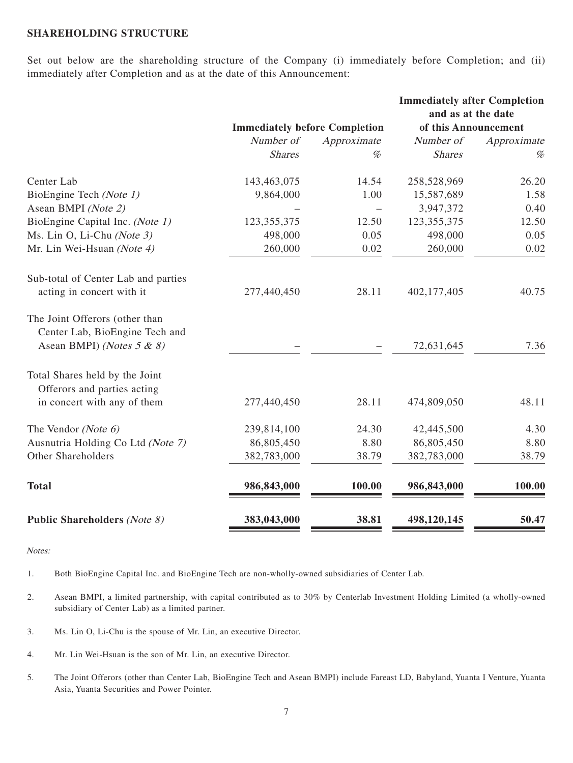#### **SHAREHOLDING STRUCTURE**

Set out below are the shareholding structure of the Company (i) immediately before Completion; and (ii) immediately after Completion and as at the date of this Announcement:

|                                                                  |                                      |             | <b>Immediately after Completion</b><br>and as at the date |             |  |
|------------------------------------------------------------------|--------------------------------------|-------------|-----------------------------------------------------------|-------------|--|
|                                                                  | <b>Immediately before Completion</b> |             | of this Announcement                                      |             |  |
|                                                                  | Number of                            | Approximate | Number of                                                 | Approximate |  |
|                                                                  | <b>Shares</b>                        | $\%$        | <b>Shares</b>                                             | %           |  |
| Center Lab                                                       | 143,463,075                          | 14.54       | 258,528,969                                               | 26.20       |  |
| BioEngine Tech (Note 1)                                          | 9,864,000                            | 1.00        | 15,587,689                                                | 1.58        |  |
| Asean BMPI (Note 2)                                              |                                      |             | 3,947,372                                                 | 0.40        |  |
| BioEngine Capital Inc. (Note 1)                                  | 123, 355, 375                        | 12.50       | 123, 355, 375                                             | 12.50       |  |
| Ms. Lin O, Li-Chu (Note 3)                                       | 498,000                              | 0.05        | 498,000                                                   | 0.05        |  |
| Mr. Lin Wei-Hsuan (Note 4)                                       | 260,000                              | 0.02        | 260,000                                                   | 0.02        |  |
| Sub-total of Center Lab and parties                              |                                      |             |                                                           |             |  |
| acting in concert with it                                        | 277,440,450                          | 28.11       | 402,177,405                                               | 40.75       |  |
| The Joint Offerors (other than<br>Center Lab, BioEngine Tech and |                                      |             |                                                           |             |  |
| Asean BMPI) (Notes $5 & 8$ )                                     |                                      |             | 72,631,645                                                | 7.36        |  |
| Total Shares held by the Joint                                   |                                      |             |                                                           |             |  |
| Offerors and parties acting                                      |                                      |             |                                                           |             |  |
| in concert with any of them                                      | 277,440,450                          | 28.11       | 474,809,050                                               | 48.11       |  |
| The Vendor (Note 6)                                              | 239,814,100                          | 24.30       | 42,445,500                                                | 4.30        |  |
| Ausnutria Holding Co Ltd (Note 7)                                | 86,805,450                           | 8.80        | 86,805,450                                                | 8.80        |  |
| Other Shareholders                                               | 382,783,000                          | 38.79       | 382,783,000                                               | 38.79       |  |
| <b>Total</b>                                                     | 986, 843, 000                        | 100.00      | 986,843,000                                               | 100.00      |  |
| <b>Public Shareholders (Note 8)</b>                              | 383,043,000                          | 38.81       | 498,120,145                                               | 50.47       |  |

Notes:

1. Both BioEngine Capital Inc. and BioEngine Tech are non-wholly-owned subsidiaries of Center Lab.

- 2. Asean BMPI, a limited partnership, with capital contributed as to 30% by Centerlab Investment Holding Limited (a wholly-owned subsidiary of Center Lab) as a limited partner.
- 3. Ms. Lin O, Li-Chu is the spouse of Mr. Lin, an executive Director.
- 4. Mr. Lin Wei-Hsuan is the son of Mr. Lin, an executive Director.
- 5. The Joint Offerors (other than Center Lab, BioEngine Tech and Asean BMPI) include Fareast LD, Babyland, Yuanta I Venture, Yuanta Asia, Yuanta Securities and Power Pointer.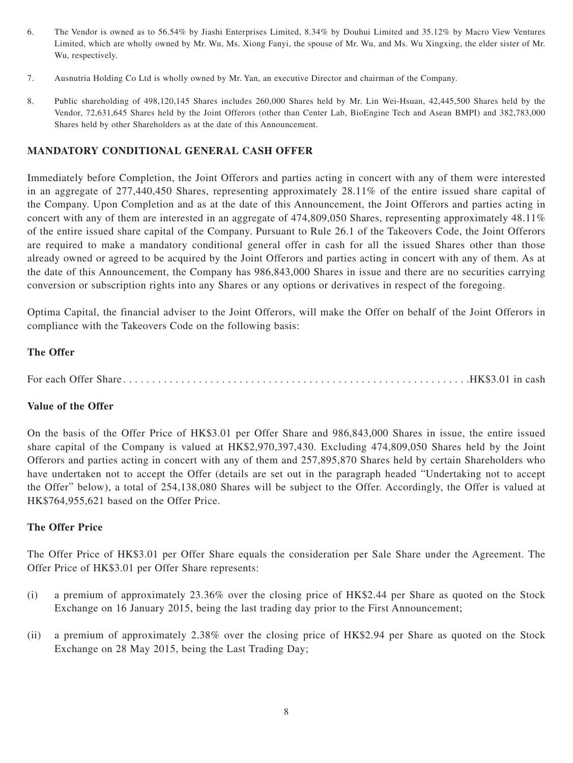- 6. The Vendor is owned as to 56.54% by Jiashi Enterprises Limited, 8.34% by Douhui Limited and 35.12% by Macro View Ventures Limited, which are wholly owned by Mr. Wu, Ms. Xiong Fanyi, the spouse of Mr. Wu, and Ms. Wu Xingxing, the elder sister of Mr. Wu, respectively.
- 7. Ausnutria Holding Co Ltd is wholly owned by Mr. Yan, an executive Director and chairman of the Company.
- 8. Public shareholding of 498,120,145 Shares includes 260,000 Shares held by Mr. Lin Wei-Hsuan, 42,445,500 Shares held by the Vendor, 72,631,645 Shares held by the Joint Offerors (other than Center Lab, BioEngine Tech and Asean BMPI) and 382,783,000 Shares held by other Shareholders as at the date of this Announcement.

#### **MANDATORY CONDITIONAL GENERAL CASH OFFER**

Immediately before Completion, the Joint Offerors and parties acting in concert with any of them were interested in an aggregate of 277,440,450 Shares, representing approximately 28.11% of the entire issued share capital of the Company. Upon Completion and as at the date of this Announcement, the Joint Offerors and parties acting in concert with any of them are interested in an aggregate of 474,809,050 Shares, representing approximately 48.11% of the entire issued share capital of the Company. Pursuant to Rule 26.1 of the Takeovers Code, the Joint Offerors are required to make a mandatory conditional general offer in cash for all the issued Shares other than those already owned or agreed to be acquired by the Joint Offerors and parties acting in concert with any of them. As at the date of this Announcement, the Company has 986,843,000 Shares in issue and there are no securities carrying conversion or subscription rights into any Shares or any options or derivatives in respect of the foregoing.

Optima Capital, the financial adviser to the Joint Offerors, will make the Offer on behalf of the Joint Offerors in compliance with the Takeovers Code on the following basis:

#### **The Offer**

For each Offer Share . . . . . . . . . . . . . . . . . . . . . . . . . . . . . . . . . . . . . . . . . . . . . . . . . . . . . . . . . . . .HK\$3.01 in cash

#### **Value of the Offer**

On the basis of the Offer Price of HK\$3.01 per Offer Share and 986,843,000 Shares in issue, the entire issued share capital of the Company is valued at HK\$2,970,397,430. Excluding 474,809,050 Shares held by the Joint Offerors and parties acting in concert with any of them and 257,895,870 Shares held by certain Shareholders who have undertaken not to accept the Offer (details are set out in the paragraph headed "Undertaking not to accept the Offer" below), a total of 254,138,080 Shares will be subject to the Offer. Accordingly, the Offer is valued at HK\$764,955,621 based on the Offer Price.

#### **The Offer Price**

The Offer Price of HK\$3.01 per Offer Share equals the consideration per Sale Share under the Agreement. The Offer Price of HK\$3.01 per Offer Share represents:

- (i) a premium of approximately 23.36% over the closing price of HK\$2.44 per Share as quoted on the Stock Exchange on 16 January 2015, being the last trading day prior to the First Announcement;
- (ii) a premium of approximately 2.38% over the closing price of HK\$2.94 per Share as quoted on the Stock Exchange on 28 May 2015, being the Last Trading Day;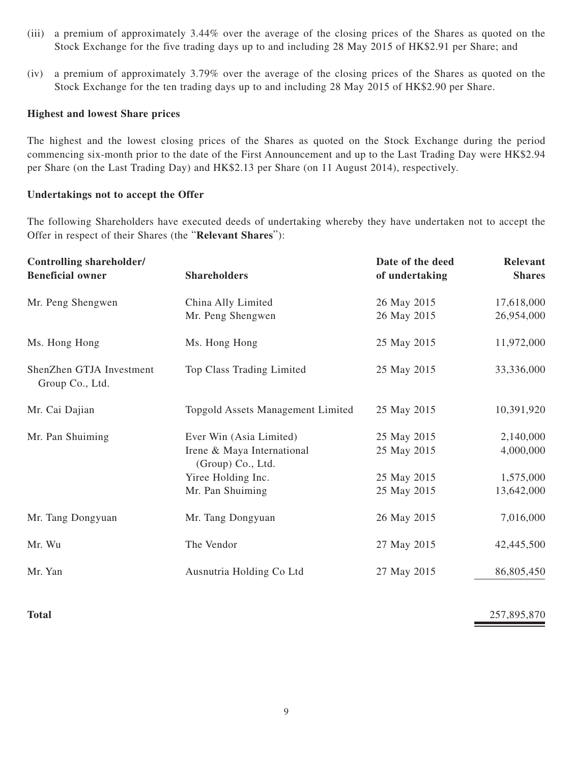- (iii) a premium of approximately 3.44% over the average of the closing prices of the Shares as quoted on the Stock Exchange for the five trading days up to and including 28 May 2015 of HK\$2.91 per Share; and
- (iv) a premium of approximately 3.79% over the average of the closing prices of the Shares as quoted on the Stock Exchange for the ten trading days up to and including 28 May 2015 of HK\$2.90 per Share.

#### **Highest and lowest Share prices**

The highest and the lowest closing prices of the Shares as quoted on the Stock Exchange during the period commencing six-month prior to the date of the First Announcement and up to the Last Trading Day were HK\$2.94 per Share (on the Last Trading Day) and HK\$2.13 per Share (on 11 August 2014), respectively.

#### **Undertakings not to accept the Offer**

The following Shareholders have executed deeds of undertaking whereby they have undertaken not to accept the Offer in respect of their Shares (the "**Relevant Shares**"):

| <b>Controlling shareholder/</b><br><b>Beneficial owner</b> | <b>Shareholders</b>                                                                                                  | Date of the deed<br>of undertaking                       | <b>Relevant</b><br><b>Shares</b>                  |
|------------------------------------------------------------|----------------------------------------------------------------------------------------------------------------------|----------------------------------------------------------|---------------------------------------------------|
| Mr. Peng Shengwen                                          | China Ally Limited<br>Mr. Peng Shengwen                                                                              | 26 May 2015<br>26 May 2015                               | 17,618,000<br>26,954,000                          |
| Ms. Hong Hong                                              | Ms. Hong Hong                                                                                                        | 25 May 2015                                              | 11,972,000                                        |
| ShenZhen GTJA Investment<br>Group Co., Ltd.                | Top Class Trading Limited                                                                                            | 25 May 2015                                              | 33,336,000                                        |
| Mr. Cai Dajian                                             | Topgold Assets Management Limited                                                                                    | 25 May 2015                                              | 10,391,920                                        |
| Mr. Pan Shuiming                                           | Ever Win (Asia Limited)<br>Irene & Maya International<br>(Group) Co., Ltd.<br>Yiree Holding Inc.<br>Mr. Pan Shuiming | 25 May 2015<br>25 May 2015<br>25 May 2015<br>25 May 2015 | 2,140,000<br>4,000,000<br>1,575,000<br>13,642,000 |
| Mr. Tang Dongyuan                                          | Mr. Tang Dongyuan                                                                                                    | 26 May 2015                                              | 7,016,000                                         |
| Mr. Wu                                                     | The Vendor                                                                                                           | 27 May 2015                                              | 42,445,500                                        |
| Mr. Yan                                                    | Ausnutria Holding Co Ltd                                                                                             | 27 May 2015                                              | 86,805,450                                        |

**Total** 257,895,870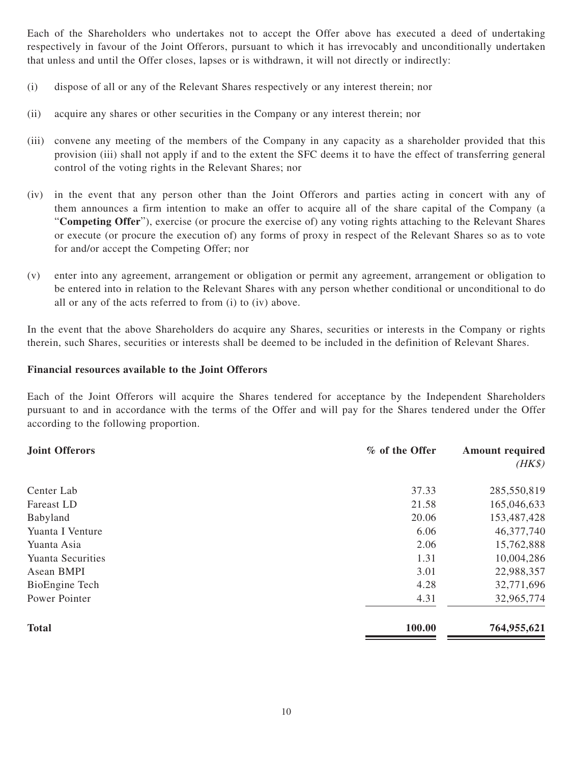Each of the Shareholders who undertakes not to accept the Offer above has executed a deed of undertaking respectively in favour of the Joint Offerors, pursuant to which it has irrevocably and unconditionally undertaken that unless and until the Offer closes, lapses or is withdrawn, it will not directly or indirectly:

- (i) dispose of all or any of the Relevant Shares respectively or any interest therein; nor
- (ii) acquire any shares or other securities in the Company or any interest therein; nor
- (iii) convene any meeting of the members of the Company in any capacity as a shareholder provided that this provision (iii) shall not apply if and to the extent the SFC deems it to have the effect of transferring general control of the voting rights in the Relevant Shares; nor
- (iv) in the event that any person other than the Joint Offerors and parties acting in concert with any of them announces a firm intention to make an offer to acquire all of the share capital of the Company (a "**Competing Offer**"), exercise (or procure the exercise of) any voting rights attaching to the Relevant Shares or execute (or procure the execution of) any forms of proxy in respect of the Relevant Shares so as to vote for and/or accept the Competing Offer; nor
- (v) enter into any agreement, arrangement or obligation or permit any agreement, arrangement or obligation to be entered into in relation to the Relevant Shares with any person whether conditional or unconditional to do all or any of the acts referred to from (i) to (iv) above.

In the event that the above Shareholders do acquire any Shares, securities or interests in the Company or rights therein, such Shares, securities or interests shall be deemed to be included in the definition of Relevant Shares.

### **Financial resources available to the Joint Offerors**

Each of the Joint Offerors will acquire the Shares tendered for acceptance by the Independent Shareholders pursuant to and in accordance with the terms of the Offer and will pay for the Shares tendered under the Offer according to the following proportion.

| <b>Joint Offerors</b>    | % of the Offer | <b>Amount required</b> |
|--------------------------|----------------|------------------------|
|                          |                | $(HK\$                 |
| Center Lab               | 37.33          | 285,550,819            |
| Fareast LD               | 21.58          | 165,046,633            |
| Babyland                 | 20.06          | 153,487,428            |
| Yuanta I Venture         | 6.06           | 46,377,740             |
| Yuanta Asia              | 2.06           | 15,762,888             |
| <b>Yuanta Securities</b> | 1.31           | 10,004,286             |
| Asean BMPI               | 3.01           | 22,988,357             |
| BioEngine Tech           | 4.28           | 32,771,696             |
| Power Pointer            | 4.31           | 32,965,774             |
| <b>Total</b>             | 100.00         | 764,955,621            |
|                          |                |                        |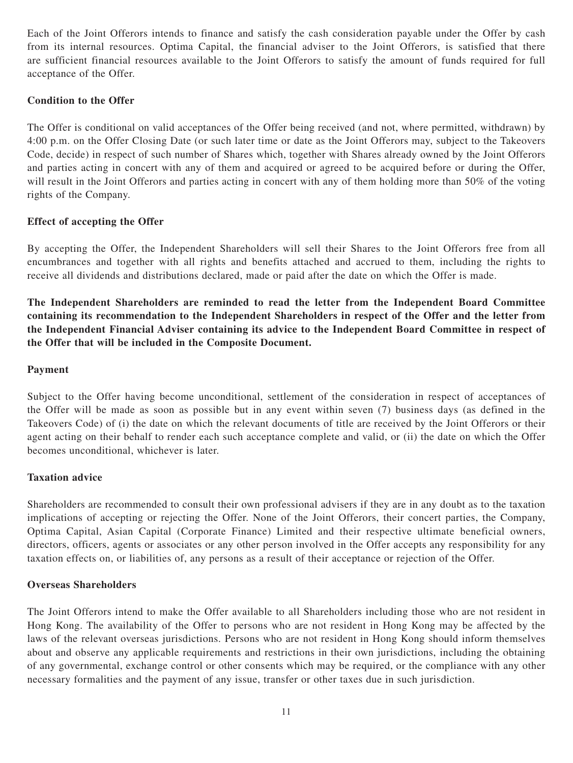Each of the Joint Offerors intends to finance and satisfy the cash consideration payable under the Offer by cash from its internal resources. Optima Capital, the financial adviser to the Joint Offerors, is satisfied that there are sufficient financial resources available to the Joint Offerors to satisfy the amount of funds required for full acceptance of the Offer.

## **Condition to the Offer**

The Offer is conditional on valid acceptances of the Offer being received (and not, where permitted, withdrawn) by 4:00 p.m. on the Offer Closing Date (or such later time or date as the Joint Offerors may, subject to the Takeovers Code, decide) in respect of such number of Shares which, together with Shares already owned by the Joint Offerors and parties acting in concert with any of them and acquired or agreed to be acquired before or during the Offer, will result in the Joint Offerors and parties acting in concert with any of them holding more than 50% of the voting rights of the Company.

### **Effect of accepting the Offer**

By accepting the Offer, the Independent Shareholders will sell their Shares to the Joint Offerors free from all encumbrances and together with all rights and benefits attached and accrued to them, including the rights to receive all dividends and distributions declared, made or paid after the date on which the Offer is made.

**The Independent Shareholders are reminded to read the letter from the Independent Board Committee containing its recommendation to the Independent Shareholders in respect of the Offer and the letter from the Independent Financial Adviser containing its advice to the Independent Board Committee in respect of the Offer that will be included in the Composite Document.**

### **Payment**

Subject to the Offer having become unconditional, settlement of the consideration in respect of acceptances of the Offer will be made as soon as possible but in any event within seven (7) business days (as defined in the Takeovers Code) of (i) the date on which the relevant documents of title are received by the Joint Offerors or their agent acting on their behalf to render each such acceptance complete and valid, or (ii) the date on which the Offer becomes unconditional, whichever is later.

#### **Taxation advice**

Shareholders are recommended to consult their own professional advisers if they are in any doubt as to the taxation implications of accepting or rejecting the Offer. None of the Joint Offerors, their concert parties, the Company, Optima Capital, Asian Capital (Corporate Finance) Limited and their respective ultimate beneficial owners, directors, officers, agents or associates or any other person involved in the Offer accepts any responsibility for any taxation effects on, or liabilities of, any persons as a result of their acceptance or rejection of the Offer.

#### **Overseas Shareholders**

The Joint Offerors intend to make the Offer available to all Shareholders including those who are not resident in Hong Kong. The availability of the Offer to persons who are not resident in Hong Kong may be affected by the laws of the relevant overseas jurisdictions. Persons who are not resident in Hong Kong should inform themselves about and observe any applicable requirements and restrictions in their own jurisdictions, including the obtaining of any governmental, exchange control or other consents which may be required, or the compliance with any other necessary formalities and the payment of any issue, transfer or other taxes due in such jurisdiction.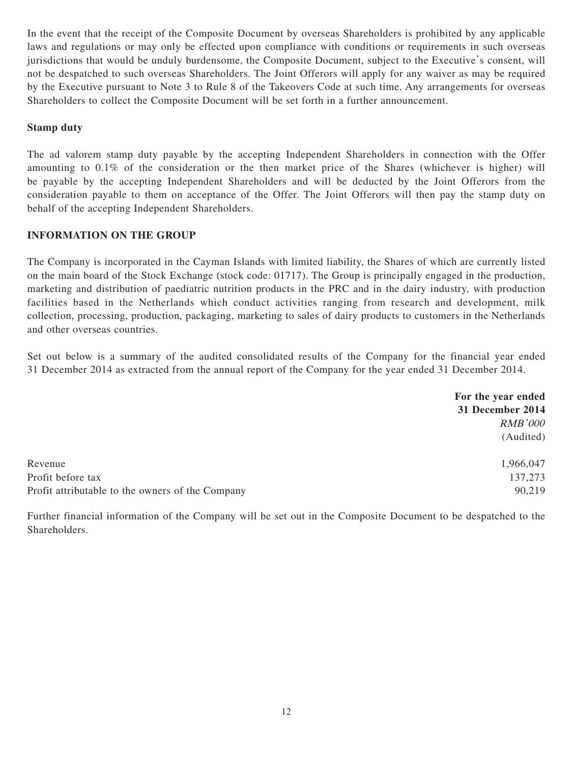In the event that the receipt of the Composite Document by overseas Shareholders is prohibited by any applicable laws and regulations or may only be effected upon compliance with conditions or requirements in such overseas jurisdictions that would be unduly burdensome, the Composite Document, subject to the Executive's consent, will not be despatched to such overseas Shareholders. The Joint Offerors will apply for any waiver as may be required by the Executive pursuant to Note 3 to Rule 8 of the Takeovers Code at such time. Any arrangements for overseas Shareholders to collect the Composite Document will be set forth in a further announcement.

### **Stamp duty**

The ad valorem stamp duty payable by the accepting Independent Shareholders in connection with the Offer amounting to 0.1% of the consideration or the then market price of the Shares (whichever is higher) will be payable by the accepting Independent Shareholders and will be deducted by the Joint Offerors from the consideration payable to them on acceptance of the Offer. The Joint Offerors will then pay the stamp duty on behalf of the accepting Independent Shareholders.

### **INFORMATION ON THE GROUP**

The Company is incorporated in the Cayman Islands with limited liability, the Shares of which are currently listed on the main board of the Stock Exchange (stock code: 01717). The Group is principally engaged in the production, marketing and distribution of paediatric nutrition products in the PRC and in the dairy industry, with production facilities based in the Netherlands which conduct activities ranging from research and development, milk collection, processing, production, packaging, marketing to sales of dairy products to customers in the Netherlands and other overseas countries.

Set out below is a summary of the audited consolidated results of the Company for the financial year ended 31 December 2014 as extracted from the annual report of the Company for the year ended 31 December 2014.

|                                                  | For the year ended<br>31 December 2014 |
|--------------------------------------------------|----------------------------------------|
|                                                  | <b>RMB'000</b>                         |
|                                                  | (Audited)                              |
| Revenue                                          | 1,966,047                              |
| Profit before tax                                | 137,273                                |
| Profit attributable to the owners of the Company | 90,219                                 |

Further financial information of the Company will be set out in the Composite Document to be despatched to the Shareholders.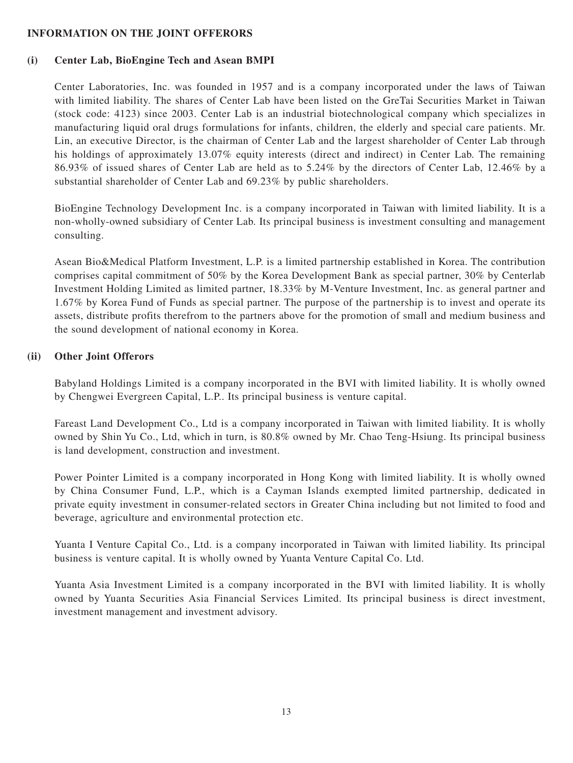#### **INFORMATION ON THE JOINT OFFERORS**

#### **(i) Center Lab, BioEngine Tech and Asean BMPI**

Center Laboratories, Inc. was founded in 1957 and is a company incorporated under the laws of Taiwan with limited liability. The shares of Center Lab have been listed on the GreTai Securities Market in Taiwan (stock code: 4123) since 2003. Center Lab is an industrial biotechnological company which specializes in manufacturing liquid oral drugs formulations for infants, children, the elderly and special care patients. Mr. Lin, an executive Director, is the chairman of Center Lab and the largest shareholder of Center Lab through his holdings of approximately 13.07% equity interests (direct and indirect) in Center Lab. The remaining 86.93% of issued shares of Center Lab are held as to 5.24% by the directors of Center Lab, 12.46% by a substantial shareholder of Center Lab and 69.23% by public shareholders.

BioEngine Technology Development Inc. is a company incorporated in Taiwan with limited liability. It is a non-wholly-owned subsidiary of Center Lab. Its principal business is investment consulting and management consulting.

Asean Bio&Medical Platform Investment, L.P. is a limited partnership established in Korea. The contribution comprises capital commitment of 50% by the Korea Development Bank as special partner, 30% by Centerlab Investment Holding Limited as limited partner, 18.33% by M-Venture Investment, Inc. as general partner and 1.67% by Korea Fund of Funds as special partner. The purpose of the partnership is to invest and operate its assets, distribute profits therefrom to the partners above for the promotion of small and medium business and the sound development of national economy in Korea.

#### **(ii) Other Joint Offerors**

Babyland Holdings Limited is a company incorporated in the BVI with limited liability. It is wholly owned by Chengwei Evergreen Capital, L.P.. Its principal business is venture capital.

Fareast Land Development Co., Ltd is a company incorporated in Taiwan with limited liability. It is wholly owned by Shin Yu Co., Ltd, which in turn, is 80.8% owned by Mr. Chao Teng-Hsiung. Its principal business is land development, construction and investment.

Power Pointer Limited is a company incorporated in Hong Kong with limited liability. It is wholly owned by China Consumer Fund, L.P., which is a Cayman Islands exempted limited partnership, dedicated in private equity investment in consumer-related sectors in Greater China including but not limited to food and beverage, agriculture and environmental protection etc.

Yuanta I Venture Capital Co., Ltd. is a company incorporated in Taiwan with limited liability. Its principal business is venture capital. It is wholly owned by Yuanta Venture Capital Co. Ltd.

Yuanta Asia Investment Limited is a company incorporated in the BVI with limited liability. It is wholly owned by Yuanta Securities Asia Financial Services Limited. Its principal business is direct investment, investment management and investment advisory.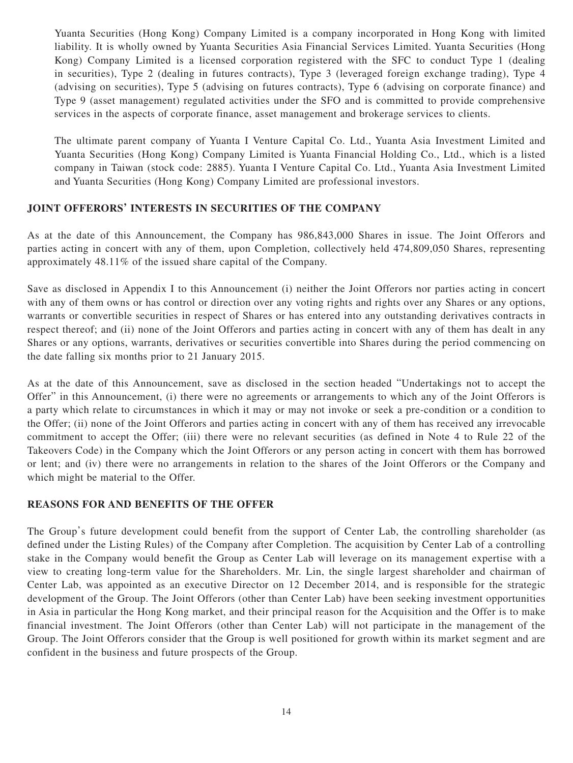Yuanta Securities (Hong Kong) Company Limited is a company incorporated in Hong Kong with limited liability. It is wholly owned by Yuanta Securities Asia Financial Services Limited. Yuanta Securities (Hong Kong) Company Limited is a licensed corporation registered with the SFC to conduct Type 1 (dealing in securities), Type 2 (dealing in futures contracts), Type 3 (leveraged foreign exchange trading), Type 4 (advising on securities), Type 5 (advising on futures contracts), Type 6 (advising on corporate finance) and Type 9 (asset management) regulated activities under the SFO and is committed to provide comprehensive services in the aspects of corporate finance, asset management and brokerage services to clients.

The ultimate parent company of Yuanta I Venture Capital Co. Ltd., Yuanta Asia Investment Limited and Yuanta Securities (Hong Kong) Company Limited is Yuanta Financial Holding Co., Ltd., which is a listed company in Taiwan (stock code: 2885). Yuanta I Venture Capital Co. Ltd., Yuanta Asia Investment Limited and Yuanta Securities (Hong Kong) Company Limited are professional investors.

### **JOINT OFFERORS' INTERESTS IN SECURITIES OF THE COMPANY**

As at the date of this Announcement, the Company has 986,843,000 Shares in issue. The Joint Offerors and parties acting in concert with any of them, upon Completion, collectively held 474,809,050 Shares, representing approximately 48.11% of the issued share capital of the Company.

Save as disclosed in Appendix I to this Announcement (i) neither the Joint Offerors nor parties acting in concert with any of them owns or has control or direction over any voting rights and rights over any Shares or any options, warrants or convertible securities in respect of Shares or has entered into any outstanding derivatives contracts in respect thereof; and (ii) none of the Joint Offerors and parties acting in concert with any of them has dealt in any Shares or any options, warrants, derivatives or securities convertible into Shares during the period commencing on the date falling six months prior to 21 January 2015.

As at the date of this Announcement, save as disclosed in the section headed "Undertakings not to accept the Offer" in this Announcement, (i) there were no agreements or arrangements to which any of the Joint Offerors is a party which relate to circumstances in which it may or may not invoke or seek a pre-condition or a condition to the Offer; (ii) none of the Joint Offerors and parties acting in concert with any of them has received any irrevocable commitment to accept the Offer; (iii) there were no relevant securities (as defined in Note 4 to Rule 22 of the Takeovers Code) in the Company which the Joint Offerors or any person acting in concert with them has borrowed or lent; and (iv) there were no arrangements in relation to the shares of the Joint Offerors or the Company and which might be material to the Offer.

#### **REASONS FOR AND BENEFITS OF THE OFFER**

The Group's future development could benefit from the support of Center Lab, the controlling shareholder (as defined under the Listing Rules) of the Company after Completion. The acquisition by Center Lab of a controlling stake in the Company would benefit the Group as Center Lab will leverage on its management expertise with a view to creating long-term value for the Shareholders. Mr. Lin, the single largest shareholder and chairman of Center Lab, was appointed as an executive Director on 12 December 2014, and is responsible for the strategic development of the Group. The Joint Offerors (other than Center Lab) have been seeking investment opportunities in Asia in particular the Hong Kong market, and their principal reason for the Acquisition and the Offer is to make financial investment. The Joint Offerors (other than Center Lab) will not participate in the management of the Group. The Joint Offerors consider that the Group is well positioned for growth within its market segment and are confident in the business and future prospects of the Group.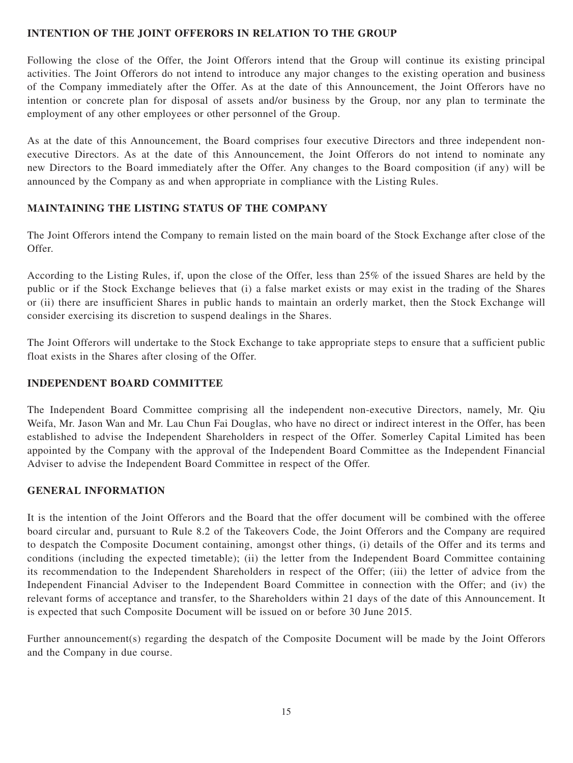#### **INTENTION OF THE JOINT OFFERORS IN RELATION TO THE GROUP**

Following the close of the Offer, the Joint Offerors intend that the Group will continue its existing principal activities. The Joint Offerors do not intend to introduce any major changes to the existing operation and business of the Company immediately after the Offer. As at the date of this Announcement, the Joint Offerors have no intention or concrete plan for disposal of assets and/or business by the Group, nor any plan to terminate the employment of any other employees or other personnel of the Group.

As at the date of this Announcement, the Board comprises four executive Directors and three independent nonexecutive Directors. As at the date of this Announcement, the Joint Offerors do not intend to nominate any new Directors to the Board immediately after the Offer. Any changes to the Board composition (if any) will be announced by the Company as and when appropriate in compliance with the Listing Rules.

### **MAINTAINING THE LISTING STATUS OF THE COMPANY**

The Joint Offerors intend the Company to remain listed on the main board of the Stock Exchange after close of the Offer.

According to the Listing Rules, if, upon the close of the Offer, less than 25% of the issued Shares are held by the public or if the Stock Exchange believes that (i) a false market exists or may exist in the trading of the Shares or (ii) there are insufficient Shares in public hands to maintain an orderly market, then the Stock Exchange will consider exercising its discretion to suspend dealings in the Shares.

The Joint Offerors will undertake to the Stock Exchange to take appropriate steps to ensure that a sufficient public float exists in the Shares after closing of the Offer.

#### **INDEPENDENT BOARD COMMITTEE**

The Independent Board Committee comprising all the independent non-executive Directors, namely, Mr. Qiu Weifa, Mr. Jason Wan and Mr. Lau Chun Fai Douglas, who have no direct or indirect interest in the Offer, has been established to advise the Independent Shareholders in respect of the Offer. Somerley Capital Limited has been appointed by the Company with the approval of the Independent Board Committee as the Independent Financial Adviser to advise the Independent Board Committee in respect of the Offer.

# **GENERAL INFORMATION**

It is the intention of the Joint Offerors and the Board that the offer document will be combined with the offeree board circular and, pursuant to Rule 8.2 of the Takeovers Code, the Joint Offerors and the Company are required to despatch the Composite Document containing, amongst other things, (i) details of the Offer and its terms and conditions (including the expected timetable); (ii) the letter from the Independent Board Committee containing its recommendation to the Independent Shareholders in respect of the Offer; (iii) the letter of advice from the Independent Financial Adviser to the Independent Board Committee in connection with the Offer; and (iv) the relevant forms of acceptance and transfer, to the Shareholders within 21 days of the date of this Announcement. It is expected that such Composite Document will be issued on or before 30 June 2015.

Further announcement(s) regarding the despatch of the Composite Document will be made by the Joint Offerors and the Company in due course.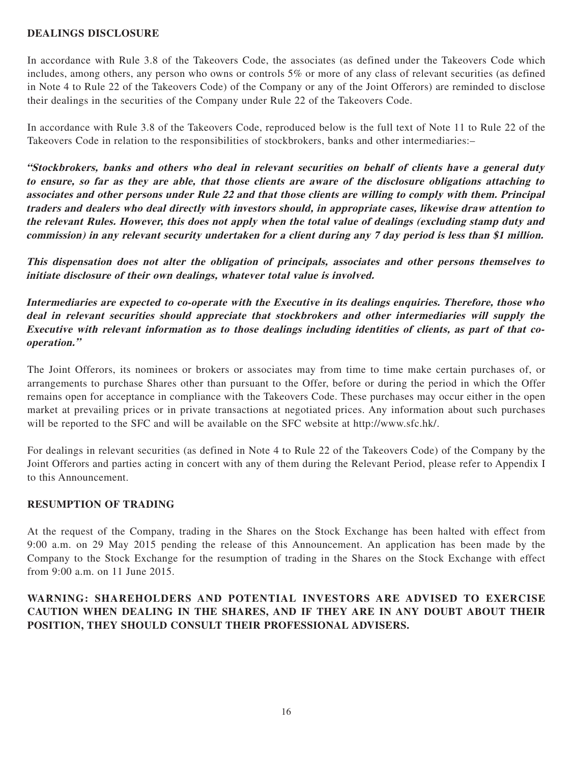### **DEALINGS DISCLOSURE**

In accordance with Rule 3.8 of the Takeovers Code, the associates (as defined under the Takeovers Code which includes, among others, any person who owns or controls 5% or more of any class of relevant securities (as defined in Note 4 to Rule 22 of the Takeovers Code) of the Company or any of the Joint Offerors) are reminded to disclose their dealings in the securities of the Company under Rule 22 of the Takeovers Code.

In accordance with Rule 3.8 of the Takeovers Code, reproduced below is the full text of Note 11 to Rule 22 of the Takeovers Code in relation to the responsibilities of stockbrokers, banks and other intermediaries:–

**"Stockbrokers, banks and others who deal in relevant securities on behalf of clients have a general duty to ensure, so far as they are able, that those clients are aware of the disclosure obligations attaching to associates and other persons under Rule 22 and that those clients are willing to comply with them. Principal traders and dealers who deal directly with investors should, in appropriate cases, likewise draw attention to the relevant Rules. However, this does not apply when the total value of dealings (excluding stamp duty and commission) in any relevant security undertaken for a client during any 7 day period is less than \$1 million.**

**This dispensation does not alter the obligation of principals, associates and other persons themselves to initiate disclosure of their own dealings, whatever total value is involved.**

**Intermediaries are expected to co-operate with the Executive in its dealings enquiries. Therefore, those who deal in relevant securities should appreciate that stockbrokers and other intermediaries will supply the Executive with relevant information as to those dealings including identities of clients, as part of that cooperation."**

The Joint Offerors, its nominees or brokers or associates may from time to time make certain purchases of, or arrangements to purchase Shares other than pursuant to the Offer, before or during the period in which the Offer remains open for acceptance in compliance with the Takeovers Code. These purchases may occur either in the open market at prevailing prices or in private transactions at negotiated prices. Any information about such purchases will be reported to the SFC and will be available on the SFC website at http://www.sfc.hk/.

For dealings in relevant securities (as defined in Note 4 to Rule 22 of the Takeovers Code) of the Company by the Joint Offerors and parties acting in concert with any of them during the Relevant Period, please refer to Appendix I to this Announcement.

#### **RESUMPTION OF TRADING**

At the request of the Company, trading in the Shares on the Stock Exchange has been halted with effect from 9:00 a.m. on 29 May 2015 pending the release of this Announcement. An application has been made by the Company to the Stock Exchange for the resumption of trading in the Shares on the Stock Exchange with effect from 9:00 a.m. on 11 June 2015.

# **WARNING: SHAREHOLDERS AND POTENTIAL INVESTORS ARE ADVISED TO EXERCISE CAUTION WHEN DEALING IN THE SHARES, AND IF THEY ARE IN ANY DOUBT ABOUT THEIR POSITION, THEY SHOULD CONSULT THEIR PROFESSIONAL ADVISERS.**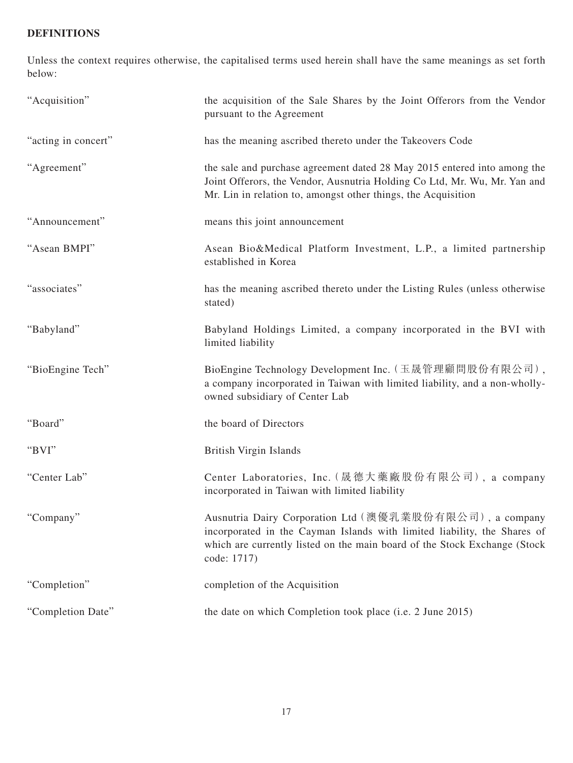# **DEFINITIONS**

Unless the context requires otherwise, the capitalised terms used herein shall have the same meanings as set forth below:

| "Acquisition"       | the acquisition of the Sale Shares by the Joint Offerors from the Vendor<br>pursuant to the Agreement                                                                                                                           |
|---------------------|---------------------------------------------------------------------------------------------------------------------------------------------------------------------------------------------------------------------------------|
| "acting in concert" | has the meaning ascribed thereto under the Takeovers Code                                                                                                                                                                       |
| "Agreement"         | the sale and purchase agreement dated 28 May 2015 entered into among the<br>Joint Offerors, the Vendor, Ausnutria Holding Co Ltd, Mr. Wu, Mr. Yan and<br>Mr. Lin in relation to, amongst other things, the Acquisition          |
| "Announcement"      | means this joint announcement                                                                                                                                                                                                   |
| "Asean BMPI"        | Asean Bio&Medical Platform Investment, L.P., a limited partnership<br>established in Korea                                                                                                                                      |
| "associates"        | has the meaning ascribed thereto under the Listing Rules (unless otherwise<br>stated)                                                                                                                                           |
| "Babyland"          | Babyland Holdings Limited, a company incorporated in the BVI with<br>limited liability                                                                                                                                          |
| "BioEngine Tech"    | BioEngine Technology Development Inc. (玉晟管理顧問股份有限公司),<br>a company incorporated in Taiwan with limited liability, and a non-wholly-<br>owned subsidiary of Center Lab                                                           |
| "Board"             | the board of Directors                                                                                                                                                                                                          |
| "BVI"               | <b>British Virgin Islands</b>                                                                                                                                                                                                   |
| "Center Lab"        | Center Laboratories, Inc. (晟德大藥廠股份有限公司), a company<br>incorporated in Taiwan with limited liability                                                                                                                             |
| "Company"           | Ausnutria Dairy Corporation Ltd (澳優乳業股份有限公司), a company<br>incorporated in the Cayman Islands with limited liability, the Shares of<br>which are currently listed on the main board of the Stock Exchange (Stock<br>code: 1717) |
| "Completion"        | completion of the Acquisition                                                                                                                                                                                                   |
| "Completion Date"   | the date on which Completion took place (i.e. 2 June 2015)                                                                                                                                                                      |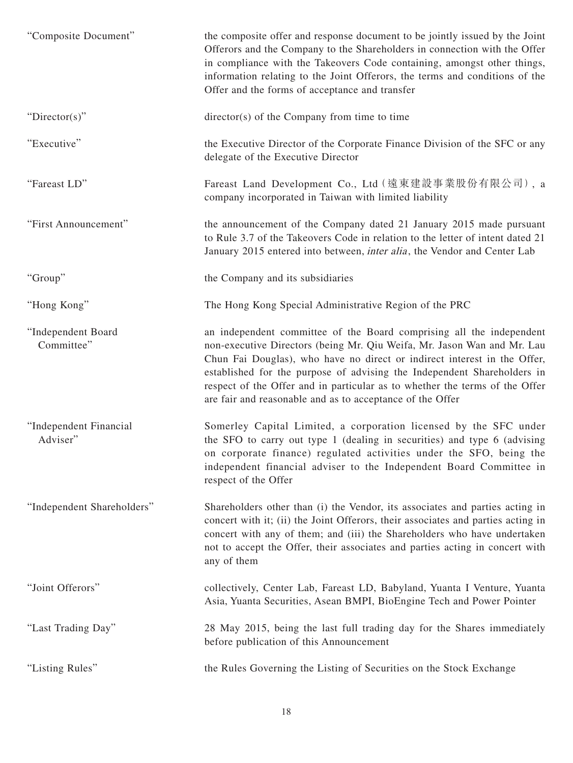| "Composite Document"               | the composite offer and response document to be jointly issued by the Joint<br>Offerors and the Company to the Shareholders in connection with the Offer<br>in compliance with the Takeovers Code containing, amongst other things,<br>information relating to the Joint Offerors, the terms and conditions of the<br>Offer and the forms of acceptance and transfer                                                                               |
|------------------------------------|----------------------------------------------------------------------------------------------------------------------------------------------------------------------------------------------------------------------------------------------------------------------------------------------------------------------------------------------------------------------------------------------------------------------------------------------------|
| " $Directory$ "                    | director(s) of the Company from time to time                                                                                                                                                                                                                                                                                                                                                                                                       |
| "Executive"                        | the Executive Director of the Corporate Finance Division of the SFC or any<br>delegate of the Executive Director                                                                                                                                                                                                                                                                                                                                   |
| "Fareast LD"                       | Fareast Land Development Co., Ltd (遠東建設事業股份有限公司), a<br>company incorporated in Taiwan with limited liability                                                                                                                                                                                                                                                                                                                                       |
| "First Announcement"               | the announcement of the Company dated 21 January 2015 made pursuant<br>to Rule 3.7 of the Takeovers Code in relation to the letter of intent dated 21<br>January 2015 entered into between, <i>inter alia</i> , the Vendor and Center Lab                                                                                                                                                                                                          |
| "Group"                            | the Company and its subsidiaries                                                                                                                                                                                                                                                                                                                                                                                                                   |
| "Hong Kong"                        | The Hong Kong Special Administrative Region of the PRC                                                                                                                                                                                                                                                                                                                                                                                             |
| "Independent Board<br>Committee"   | an independent committee of the Board comprising all the independent<br>non-executive Directors (being Mr. Qiu Weifa, Mr. Jason Wan and Mr. Lau<br>Chun Fai Douglas), who have no direct or indirect interest in the Offer,<br>established for the purpose of advising the Independent Shareholders in<br>respect of the Offer and in particular as to whether the terms of the Offer<br>are fair and reasonable and as to acceptance of the Offer |
| "Independent Financial<br>Adviser" | Somerley Capital Limited, a corporation licensed by the SFC under<br>the SFO to carry out type 1 (dealing in securities) and type 6 (advising<br>on corporate finance) regulated activities under the SFO, being the<br>independent financial adviser to the Independent Board Committee in<br>respect of the Offer                                                                                                                                |
| "Independent Shareholders"         | Shareholders other than (i) the Vendor, its associates and parties acting in<br>concert with it; (ii) the Joint Offerors, their associates and parties acting in<br>concert with any of them; and (iii) the Shareholders who have undertaken<br>not to accept the Offer, their associates and parties acting in concert with<br>any of them                                                                                                        |
| "Joint Offerors"                   | collectively, Center Lab, Fareast LD, Babyland, Yuanta I Venture, Yuanta<br>Asia, Yuanta Securities, Asean BMPI, BioEngine Tech and Power Pointer                                                                                                                                                                                                                                                                                                  |
| "Last Trading Day"                 | 28 May 2015, being the last full trading day for the Shares immediately<br>before publication of this Announcement                                                                                                                                                                                                                                                                                                                                 |
| "Listing Rules"                    | the Rules Governing the Listing of Securities on the Stock Exchange                                                                                                                                                                                                                                                                                                                                                                                |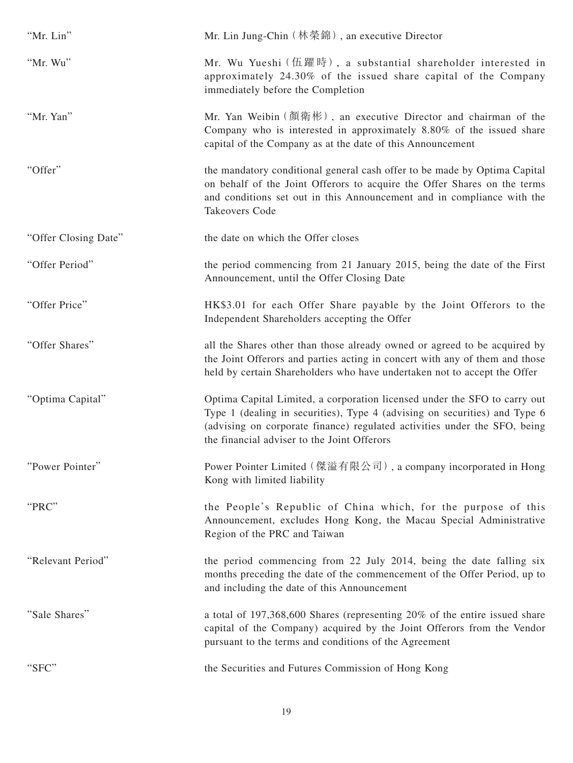| "Mr. Lin"            | Mr. Lin Jung-Chin (林榮錦), an executive Director                                                                                                                                                                                                                                      |
|----------------------|-------------------------------------------------------------------------------------------------------------------------------------------------------------------------------------------------------------------------------------------------------------------------------------|
| "Mr. Wu"             | Mr. Wu Yueshi (伍躍時), a substantial shareholder interested in<br>approximately 24.30% of the issued share capital of the Company<br>immediately before the Completion                                                                                                                |
| "Mr. Yan"            | Mr. Yan Weibin (顏衛彬), an executive Director and chairman of the<br>Company who is interested in approximately 8.80% of the issued share<br>capital of the Company as at the date of this Announcement                                                                               |
| "Offer"              | the mandatory conditional general cash offer to be made by Optima Capital<br>on behalf of the Joint Offerors to acquire the Offer Shares on the terms<br>and conditions set out in this Announcement and in compliance with the<br><b>Takeovers Code</b>                            |
| "Offer Closing Date" | the date on which the Offer closes                                                                                                                                                                                                                                                  |
| "Offer Period"       | the period commencing from 21 January 2015, being the date of the First<br>Announcement, until the Offer Closing Date                                                                                                                                                               |
| "Offer Price"        | HK\$3.01 for each Offer Share payable by the Joint Offerors to the<br>Independent Shareholders accepting the Offer                                                                                                                                                                  |
| "Offer Shares"       | all the Shares other than those already owned or agreed to be acquired by<br>the Joint Offerors and parties acting in concert with any of them and those<br>held by certain Shareholders who have undertaken not to accept the Offer                                                |
| "Optima Capital"     | Optima Capital Limited, a corporation licensed under the SFO to carry out<br>Type 1 (dealing in securities), Type 4 (advising on securities) and Type 6<br>(advising on corporate finance) regulated activities under the SFO, being<br>the financial adviser to the Joint Offerors |
| "Power Pointer"      | Power Pointer Limited (傑溢有限公司), a company incorporated in Hong<br>Kong with limited liability                                                                                                                                                                                       |
| "PRC"                | the People's Republic of China which, for the purpose of this<br>Announcement, excludes Hong Kong, the Macau Special Administrative<br>Region of the PRC and Taiwan                                                                                                                 |
| "Relevant Period"    | the period commencing from 22 July 2014, being the date falling six<br>months preceding the date of the commencement of the Offer Period, up to<br>and including the date of this Announcement                                                                                      |
| "Sale Shares"        | a total of 197,368,600 Shares (representing 20% of the entire issued share<br>capital of the Company) acquired by the Joint Offerors from the Vendor<br>pursuant to the terms and conditions of the Agreement                                                                       |
| "SFC"                | the Securities and Futures Commission of Hong Kong                                                                                                                                                                                                                                  |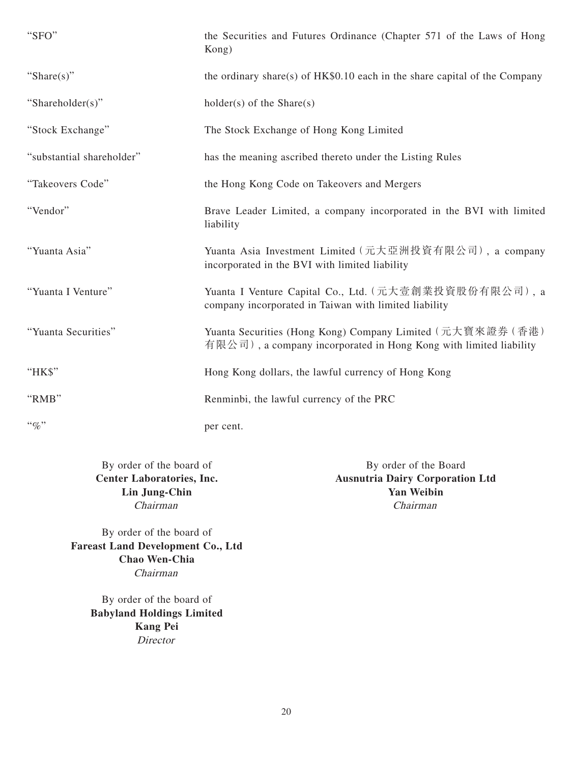| "SFO"                     | the Securities and Futures Ordinance (Chapter 571 of the Laws of Hong<br>Kong)                                                  |
|---------------------------|---------------------------------------------------------------------------------------------------------------------------------|
| "Share $(s)$ "            | the ordinary share(s) of $HK$0.10$ each in the share capital of the Company                                                     |
| "Shareholder(s)"          | $holder(s)$ of the Share $(s)$                                                                                                  |
| "Stock Exchange"          | The Stock Exchange of Hong Kong Limited                                                                                         |
| "substantial shareholder" | has the meaning ascribed thereto under the Listing Rules                                                                        |
| "Takeovers Code"          | the Hong Kong Code on Takeovers and Mergers                                                                                     |
| "Vendor"                  | Brave Leader Limited, a company incorporated in the BVI with limited<br>liability                                               |
| "Yuanta Asia"             | Yuanta Asia Investment Limited (元大亞洲投資有限公司), a company<br>incorporated in the BVI with limited liability                        |
| "Yuanta I Venture"        | Yuanta I Venture Capital Co., Ltd. (元大壹創業投資股份有限公司), a<br>company incorporated in Taiwan with limited liability                  |
| "Yuanta Securities"       | Yuanta Securities (Hong Kong) Company Limited (元大寶來證券 (香港)<br>有限公司), a company incorporated in Hong Kong with limited liability |
| "HK\$"                    | Hong Kong dollars, the lawful currency of Hong Kong                                                                             |
| "RMB"                     | Renminbi, the lawful currency of the PRC                                                                                        |
| $``q_0"$                  | per cent.                                                                                                                       |

By order of the board of By order of the Board<br>
Center Laboratories, Inc.<br>
Ausnutria Dairy Corporation **Ausnutria Dairy Corporation Ltd Lin Jung-Chin Yan Weibin** Chairman Chairman

By order of the board of **Fareast Land Development Co., Ltd Chao Wen-Chia** Chairman

> By order of the board of **Babyland Holdings Limited Kang Pei** Director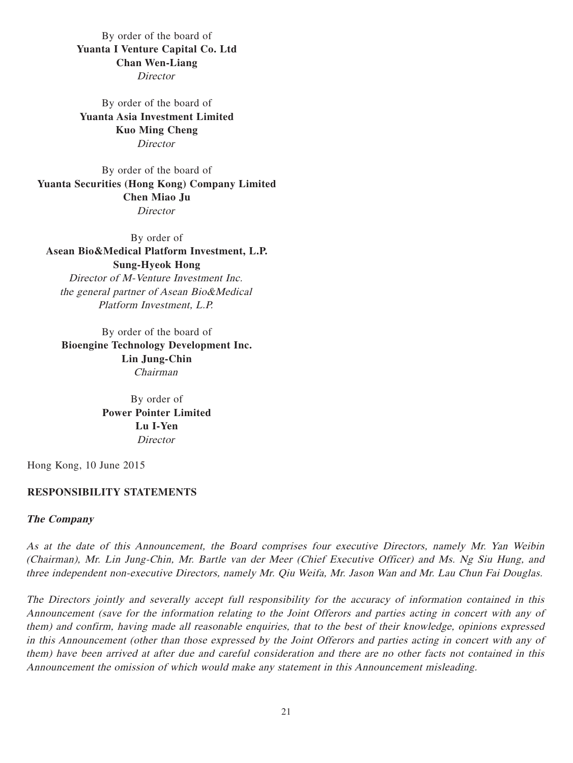By order of the board of **Yuanta I Venture Capital Co. Ltd Chan Wen-Liang**

**Director** 

By order of the board of **Yuanta Asia Investment Limited Kuo Ming Cheng Director** 

By order of the board of **Yuanta Securities (Hong Kong) Company Limited Chen Miao Ju Director** 

By order of **Asean Bio&Medical Platform Investment, L.P. Sung-Hyeok Hong** Director of M-Venture Investment Inc. the general partner of Asean Bio&Medical Platform Investment, L.P.

By order of the board of **Bioengine Technology Development Inc. Lin Jung-Chin** Chairman

> By order of **Power Pointer Limited Lu I-Yen Director**

Hong Kong, 10 June 2015

#### **RESPONSIBILITY STATEMENTS**

#### **The Company**

As at the date of this Announcement, the Board comprises four executive Directors, namely Mr. Yan Weibin (Chairman), Mr. Lin Jung-Chin, Mr. Bartle van der Meer (Chief Executive Officer) and Ms. Ng Siu Hung, and three independent non-executive Directors, namely Mr. Qiu Weifa, Mr. Jason Wan and Mr. Lau Chun Fai Douglas.

The Directors jointly and severally accept full responsibility for the accuracy of information contained in this Announcement (save for the information relating to the Joint Offerors and parties acting in concert with any of them) and confirm, having made all reasonable enquiries, that to the best of their knowledge, opinions expressed in this Announcement (other than those expressed by the Joint Offerors and parties acting in concert with any of them) have been arrived at after due and careful consideration and there are no other facts not contained in this Announcement the omission of which would make any statement in this Announcement misleading.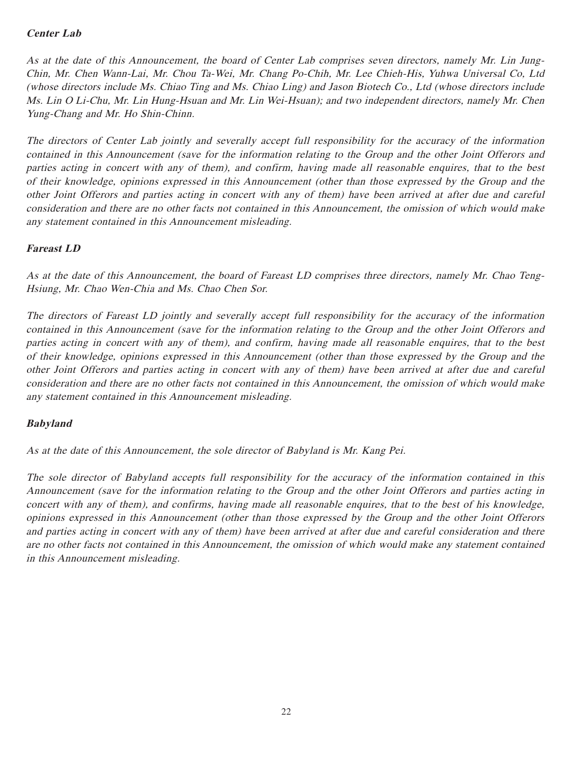# **Center Lab**

As at the date of this Announcement, the board of Center Lab comprises seven directors, namely Mr. Lin Jung-Chin, Mr. Chen Wann-Lai, Mr. Chou Ta-Wei, Mr. Chang Po-Chih, Mr. Lee Chieh-His, Yuhwa Universal Co, Ltd (whose directors include Ms. Chiao Ting and Ms. Chiao Ling) and Jason Biotech Co., Ltd (whose directors include Ms. Lin O Li-Chu, Mr. Lin Hung-Hsuan and Mr. Lin Wei-Hsuan); and two independent directors, namely Mr. Chen Yung-Chang and Mr. Ho Shin-Chinn.

The directors of Center Lab jointly and severally accept full responsibility for the accuracy of the information contained in this Announcement (save for the information relating to the Group and the other Joint Offerors and parties acting in concert with any of them), and confirm, having made all reasonable enquires, that to the best of their knowledge, opinions expressed in this Announcement (other than those expressed by the Group and the other Joint Offerors and parties acting in concert with any of them) have been arrived at after due and careful consideration and there are no other facts not contained in this Announcement, the omission of which would make any statement contained in this Announcement misleading.

# **Fareast LD**

As at the date of this Announcement, the board of Fareast LD comprises three directors, namely Mr. Chao Teng-Hsiung, Mr. Chao Wen-Chia and Ms. Chao Chen Sor.

The directors of Fareast LD jointly and severally accept full responsibility for the accuracy of the information contained in this Announcement (save for the information relating to the Group and the other Joint Offerors and parties acting in concert with any of them), and confirm, having made all reasonable enquires, that to the best of their knowledge, opinions expressed in this Announcement (other than those expressed by the Group and the other Joint Offerors and parties acting in concert with any of them) have been arrived at after due and careful consideration and there are no other facts not contained in this Announcement, the omission of which would make any statement contained in this Announcement misleading.

# **Babyland**

As at the date of this Announcement, the sole director of Babyland is Mr. Kang Pei.

The sole director of Babyland accepts full responsibility for the accuracy of the information contained in this Announcement (save for the information relating to the Group and the other Joint Offerors and parties acting in concert with any of them), and confirms, having made all reasonable enquires, that to the best of his knowledge, opinions expressed in this Announcement (other than those expressed by the Group and the other Joint Offerors and parties acting in concert with any of them) have been arrived at after due and careful consideration and there are no other facts not contained in this Announcement, the omission of which would make any statement contained in this Announcement misleading.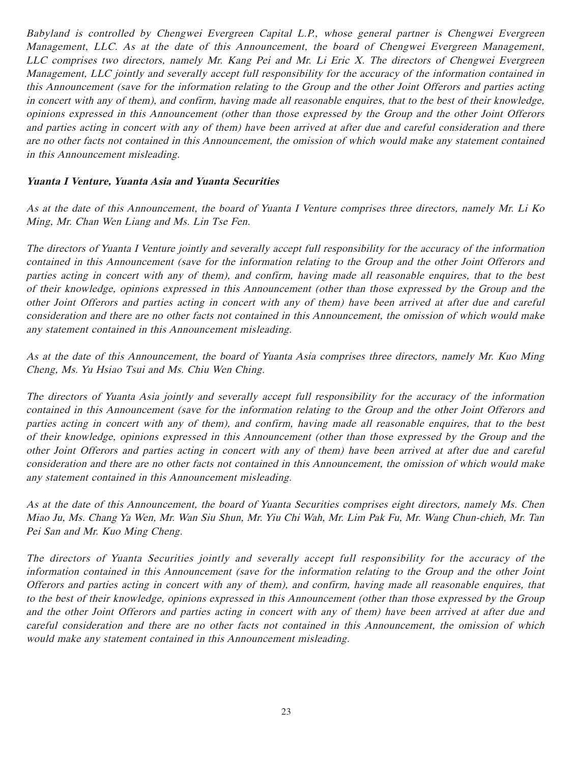Babyland is controlled by Chengwei Evergreen Capital L.P., whose general partner is Chengwei Evergreen Management, LLC. As at the date of this Announcement, the board of Chengwei Evergreen Management, LLC comprises two directors, namely Mr. Kang Pei and Mr. Li Eric X. The directors of Chengwei Evergreen Management, LLC jointly and severally accept full responsibility for the accuracy of the information contained in this Announcement (save for the information relating to the Group and the other Joint Offerors and parties acting in concert with any of them), and confirm, having made all reasonable enquires, that to the best of their knowledge, opinions expressed in this Announcement (other than those expressed by the Group and the other Joint Offerors and parties acting in concert with any of them) have been arrived at after due and careful consideration and there are no other facts not contained in this Announcement, the omission of which would make any statement contained in this Announcement misleading.

# **Yuanta I Venture, Yuanta Asia and Yuanta Securities**

As at the date of this Announcement, the board of Yuanta I Venture comprises three directors, namely Mr. Li Ko Ming, Mr. Chan Wen Liang and Ms. Lin Tse Fen.

The directors of Yuanta I Venture jointly and severally accept full responsibility for the accuracy of the information contained in this Announcement (save for the information relating to the Group and the other Joint Offerors and parties acting in concert with any of them), and confirm, having made all reasonable enquires, that to the best of their knowledge, opinions expressed in this Announcement (other than those expressed by the Group and the other Joint Offerors and parties acting in concert with any of them) have been arrived at after due and careful consideration and there are no other facts not contained in this Announcement, the omission of which would make any statement contained in this Announcement misleading.

As at the date of this Announcement, the board of Yuanta Asia comprises three directors, namely Mr. Kuo Ming Cheng, Ms. Yu Hsiao Tsui and Ms. Chiu Wen Ching.

The directors of Yuanta Asia jointly and severally accept full responsibility for the accuracy of the information contained in this Announcement (save for the information relating to the Group and the other Joint Offerors and parties acting in concert with any of them), and confirm, having made all reasonable enquires, that to the best of their knowledge, opinions expressed in this Announcement (other than those expressed by the Group and the other Joint Offerors and parties acting in concert with any of them) have been arrived at after due and careful consideration and there are no other facts not contained in this Announcement, the omission of which would make any statement contained in this Announcement misleading.

As at the date of this Announcement, the board of Yuanta Securities comprises eight directors, namely Ms. Chen Miao Ju, Ms. Chang Ya Wen, Mr. Wan Siu Shun, Mr. Yiu Chi Wah, Mr. Lim Pak Fu, Mr. Wang Chun-chieh, Mr. Tan Pei San and Mr. Kuo Ming Cheng.

The directors of Yuanta Securities jointly and severally accept full responsibility for the accuracy of the information contained in this Announcement (save for the information relating to the Group and the other Joint Offerors and parties acting in concert with any of them), and confirm, having made all reasonable enquires, that to the best of their knowledge, opinions expressed in this Announcement (other than those expressed by the Group and the other Joint Offerors and parties acting in concert with any of them) have been arrived at after due and careful consideration and there are no other facts not contained in this Announcement, the omission of which would make any statement contained in this Announcement misleading.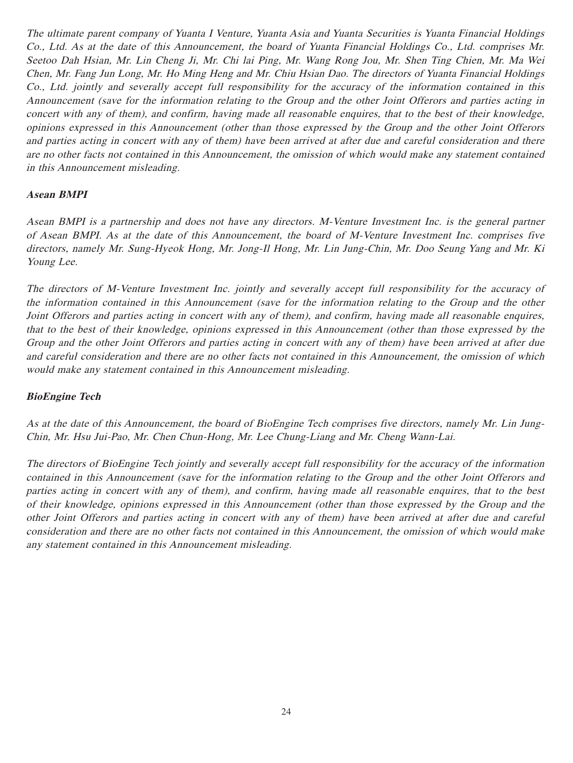The ultimate parent company of Yuanta I Venture, Yuanta Asia and Yuanta Securities is Yuanta Financial Holdings Co., Ltd. As at the date of this Announcement, the board of Yuanta Financial Holdings Co., Ltd. comprises Mr. Seetoo Dah Hsian, Mr. Lin Cheng Ji, Mr. Chi lai Ping, Mr. Wang Rong Jou, Mr. Shen Ting Chien, Mr. Ma Wei Chen, Mr. Fang Jun Long, Mr. Ho Ming Heng and Mr. Chiu Hsian Dao. The directors of Yuanta Financial Holdings Co., Ltd. jointly and severally accept full responsibility for the accuracy of the information contained in this Announcement (save for the information relating to the Group and the other Joint Offerors and parties acting in concert with any of them), and confirm, having made all reasonable enquires, that to the best of their knowledge, opinions expressed in this Announcement (other than those expressed by the Group and the other Joint Offerors and parties acting in concert with any of them) have been arrived at after due and careful consideration and there are no other facts not contained in this Announcement, the omission of which would make any statement contained in this Announcement misleading.

### **Asean BMPI**

Asean BMPI is a partnership and does not have any directors. M-Venture Investment Inc. is the general partner of Asean BMPI. As at the date of this Announcement, the board of M-Venture Investment Inc. comprises five directors, namely Mr. Sung-Hyeok Hong, Mr. Jong-Il Hong, Mr. Lin Jung-Chin, Mr. Doo Seung Yang and Mr. Ki Young Lee.

The directors of M-Venture Investment Inc. jointly and severally accept full responsibility for the accuracy of the information contained in this Announcement (save for the information relating to the Group and the other Joint Offerors and parties acting in concert with any of them), and confirm, having made all reasonable enquires, that to the best of their knowledge, opinions expressed in this Announcement (other than those expressed by the Group and the other Joint Offerors and parties acting in concert with any of them) have been arrived at after due and careful consideration and there are no other facts not contained in this Announcement, the omission of which would make any statement contained in this Announcement misleading.

# **BioEngine Tech**

As at the date of this Announcement, the board of BioEngine Tech comprises five directors, namely Mr. Lin Jung-Chin, Mr. Hsu Jui-Pao, Mr. Chen Chun-Hong, Mr. Lee Chung-Liang and Mr. Cheng Wann-Lai.

The directors of BioEngine Tech jointly and severally accept full responsibility for the accuracy of the information contained in this Announcement (save for the information relating to the Group and the other Joint Offerors and parties acting in concert with any of them), and confirm, having made all reasonable enquires, that to the best of their knowledge, opinions expressed in this Announcement (other than those expressed by the Group and the other Joint Offerors and parties acting in concert with any of them) have been arrived at after due and careful consideration and there are no other facts not contained in this Announcement, the omission of which would make any statement contained in this Announcement misleading.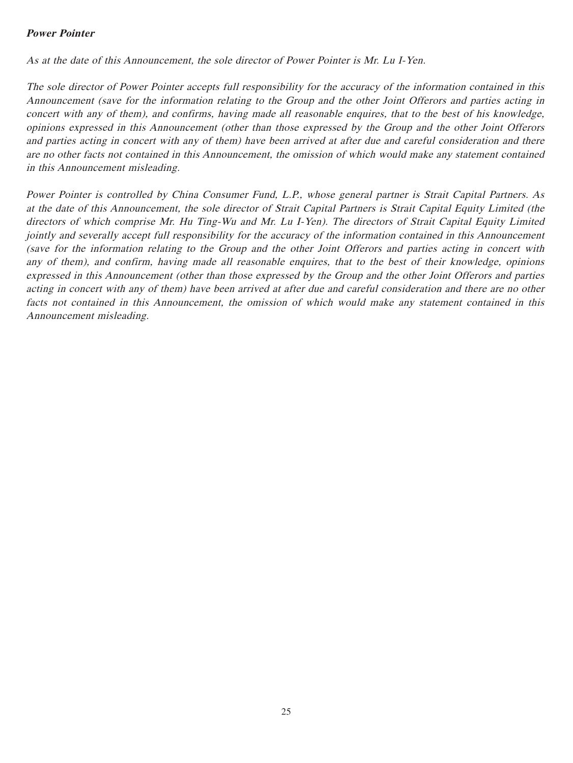### **Power Pointer**

As at the date of this Announcement, the sole director of Power Pointer is Mr. Lu I-Yen.

The sole director of Power Pointer accepts full responsibility for the accuracy of the information contained in this Announcement (save for the information relating to the Group and the other Joint Offerors and parties acting in concert with any of them), and confirms, having made all reasonable enquires, that to the best of his knowledge, opinions expressed in this Announcement (other than those expressed by the Group and the other Joint Offerors and parties acting in concert with any of them) have been arrived at after due and careful consideration and there are no other facts not contained in this Announcement, the omission of which would make any statement contained in this Announcement misleading.

Power Pointer is controlled by China Consumer Fund, L.P., whose general partner is Strait Capital Partners. As at the date of this Announcement, the sole director of Strait Capital Partners is Strait Capital Equity Limited (the directors of which comprise Mr. Hu Ting-Wu and Mr. Lu I-Yen). The directors of Strait Capital Equity Limited jointly and severally accept full responsibility for the accuracy of the information contained in this Announcement (save for the information relating to the Group and the other Joint Offerors and parties acting in concert with any of them), and confirm, having made all reasonable enquires, that to the best of their knowledge, opinions expressed in this Announcement (other than those expressed by the Group and the other Joint Offerors and parties acting in concert with any of them) have been arrived at after due and careful consideration and there are no other facts not contained in this Announcement, the omission of which would make any statement contained in this Announcement misleading.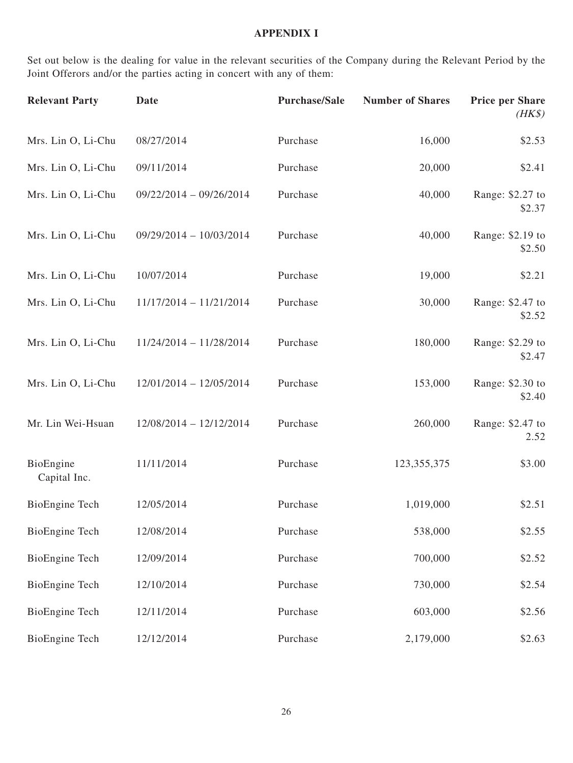## **APPENDIX I**

Set out below is the dealing for value in the relevant securities of the Company during the Relevant Period by the Joint Offerors and/or the parties acting in concert with any of them:

| <b>Relevant Party</b>     | <b>Date</b>               | <b>Purchase/Sale</b> | <b>Number of Shares</b> | <b>Price per Share</b><br>$(HK\$ |
|---------------------------|---------------------------|----------------------|-------------------------|----------------------------------|
| Mrs. Lin O, Li-Chu        | 08/27/2014                | Purchase             | 16,000                  | \$2.53                           |
| Mrs. Lin O, Li-Chu        | 09/11/2014                | Purchase             | 20,000                  | \$2.41                           |
| Mrs. Lin O, Li-Chu        | $09/22/2014 - 09/26/2014$ | Purchase             | 40,000                  | Range: \$2.27 to<br>\$2.37       |
| Mrs. Lin O, Li-Chu        | 09/29/2014 - 10/03/2014   | Purchase             | 40,000                  | Range: \$2.19 to<br>\$2.50       |
| Mrs. Lin O, Li-Chu        | 10/07/2014                | Purchase             | 19,000                  | \$2.21                           |
| Mrs. Lin O, Li-Chu        | $11/17/2014 - 11/21/2014$ | Purchase             | 30,000                  | Range: \$2.47 to<br>\$2.52       |
| Mrs. Lin O, Li-Chu        | $11/24/2014 - 11/28/2014$ | Purchase             | 180,000                 | Range: \$2.29 to<br>\$2.47       |
| Mrs. Lin O, Li-Chu        | $12/01/2014 - 12/05/2014$ | Purchase             | 153,000                 | Range: \$2.30 to<br>\$2.40       |
| Mr. Lin Wei-Hsuan         | $12/08/2014 - 12/12/2014$ | Purchase             | 260,000                 | Range: \$2.47 to<br>2.52         |
| BioEngine<br>Capital Inc. | 11/11/2014                | Purchase             | 123, 355, 375           | \$3.00                           |
| <b>BioEngine Tech</b>     | 12/05/2014                | Purchase             | 1,019,000               | \$2.51                           |
| <b>BioEngine Tech</b>     | 12/08/2014                | Purchase             | 538,000                 | \$2.55                           |
| BioEngine Tech            | 12/09/2014                | Purchase             | 700,000                 | \$2.52                           |
| BioEngine Tech            | 12/10/2014                | Purchase             | 730,000                 | \$2.54                           |
| BioEngine Tech            | 12/11/2014                | Purchase             | 603,000                 | \$2.56                           |
| <b>BioEngine Tech</b>     | 12/12/2014                | Purchase             | 2,179,000               | \$2.63                           |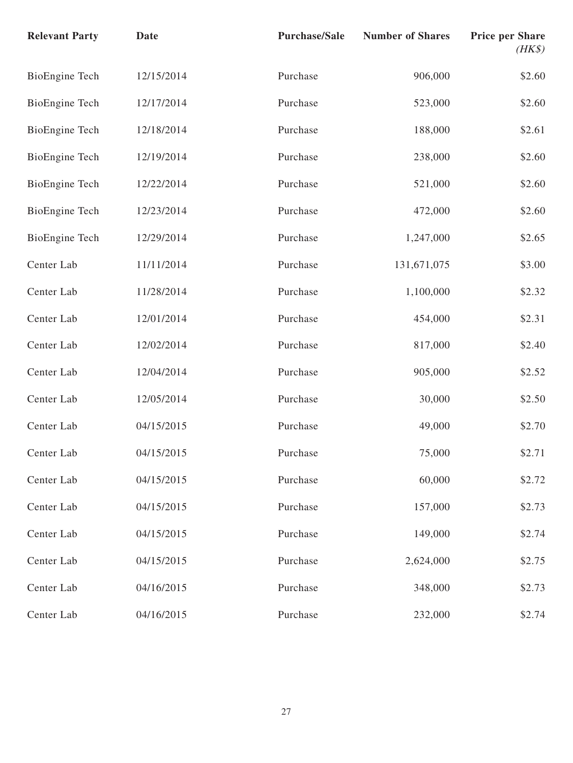| <b>Relevant Party</b> | <b>Date</b> | <b>Purchase/Sale</b> | <b>Number of Shares</b> | <b>Price per Share</b><br>$(HK\$ |
|-----------------------|-------------|----------------------|-------------------------|----------------------------------|
| BioEngine Tech        | 12/15/2014  | Purchase             | 906,000                 | \$2.60                           |
| <b>BioEngine Tech</b> | 12/17/2014  | Purchase             | 523,000                 | \$2.60                           |
| <b>BioEngine Tech</b> | 12/18/2014  | Purchase             | 188,000                 | \$2.61                           |
| <b>BioEngine Tech</b> | 12/19/2014  | Purchase             | 238,000                 | \$2.60                           |
| <b>BioEngine Tech</b> | 12/22/2014  | Purchase             | 521,000                 | \$2.60                           |
| <b>BioEngine Tech</b> | 12/23/2014  | Purchase             | 472,000                 | \$2.60                           |
| BioEngine Tech        | 12/29/2014  | Purchase             | 1,247,000               | \$2.65                           |
| Center Lab            | 11/11/2014  | Purchase             | 131,671,075             | \$3.00                           |
| Center Lab            | 11/28/2014  | Purchase             | 1,100,000               | \$2.32                           |
| Center Lab            | 12/01/2014  | Purchase             | 454,000                 | \$2.31                           |
| Center Lab            | 12/02/2014  | Purchase             | 817,000                 | \$2.40                           |
| Center Lab            | 12/04/2014  | Purchase             | 905,000                 | \$2.52                           |
| Center Lab            | 12/05/2014  | Purchase             | 30,000                  | \$2.50                           |
| Center Lab            | 04/15/2015  | Purchase             | 49,000                  | \$2.70                           |
| Center Lab            | 04/15/2015  | Purchase             | 75,000                  | \$2.71                           |
| Center Lab            | 04/15/2015  | Purchase             | 60,000                  | \$2.72                           |
| Center Lab            | 04/15/2015  | Purchase             | 157,000                 | \$2.73                           |
| Center Lab            | 04/15/2015  | Purchase             | 149,000                 | \$2.74                           |
| Center Lab            | 04/15/2015  | Purchase             | 2,624,000               | \$2.75                           |
| Center Lab            | 04/16/2015  | Purchase             | 348,000                 | \$2.73                           |
| Center Lab            | 04/16/2015  | Purchase             | 232,000                 | \$2.74                           |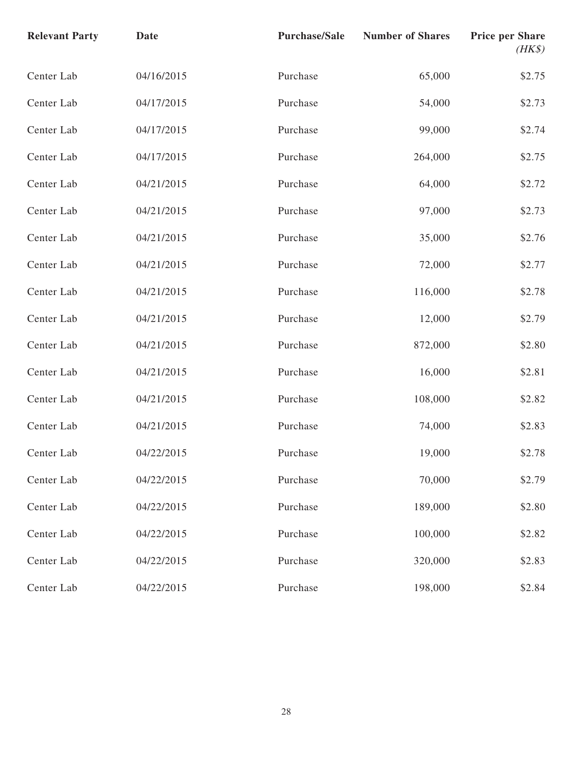| <b>Relevant Party</b> | <b>Date</b> | <b>Purchase/Sale</b> | <b>Number of Shares</b> | <b>Price per Share</b><br>$(HK\$ |
|-----------------------|-------------|----------------------|-------------------------|----------------------------------|
| Center Lab            | 04/16/2015  | Purchase             | 65,000                  | \$2.75                           |
| Center Lab            | 04/17/2015  | Purchase             | 54,000                  | \$2.73                           |
| Center Lab            | 04/17/2015  | Purchase             | 99,000                  | \$2.74                           |
| Center Lab            | 04/17/2015  | Purchase             | 264,000                 | \$2.75                           |
| Center Lab            | 04/21/2015  | Purchase             | 64,000                  | \$2.72                           |
| Center Lab            | 04/21/2015  | Purchase             | 97,000                  | \$2.73                           |
| Center Lab            | 04/21/2015  | Purchase             | 35,000                  | \$2.76                           |
| Center Lab            | 04/21/2015  | Purchase             | 72,000                  | \$2.77                           |
| Center Lab            | 04/21/2015  | Purchase             | 116,000                 | \$2.78                           |
| Center Lab            | 04/21/2015  | Purchase             | 12,000                  | \$2.79                           |
| Center Lab            | 04/21/2015  | Purchase             | 872,000                 | \$2.80                           |
| Center Lab            | 04/21/2015  | Purchase             | 16,000                  | \$2.81                           |
| Center Lab            | 04/21/2015  | Purchase             | 108,000                 | \$2.82                           |
| Center Lab            | 04/21/2015  | Purchase             | 74,000                  | \$2.83                           |
| Center Lab            | 04/22/2015  | Purchase             | 19,000                  | \$2.78                           |
| Center Lab            | 04/22/2015  | Purchase             | 70,000                  | \$2.79                           |
| Center Lab            | 04/22/2015  | Purchase             | 189,000                 | \$2.80                           |
| Center Lab            | 04/22/2015  | Purchase             | 100,000                 | \$2.82                           |
| Center Lab            | 04/22/2015  | Purchase             | 320,000                 | \$2.83                           |
| Center Lab            | 04/22/2015  | Purchase             | 198,000                 | \$2.84                           |